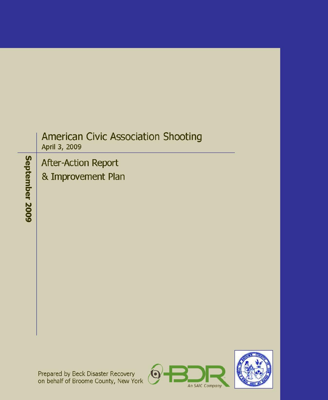# **American Civic Association Shooting** April 3, 2009

# **After-Action Report**

& Improvement Plan

September 2009

Prepared by Beck Disaster Recovery<br>on behalf of Broome County, New York



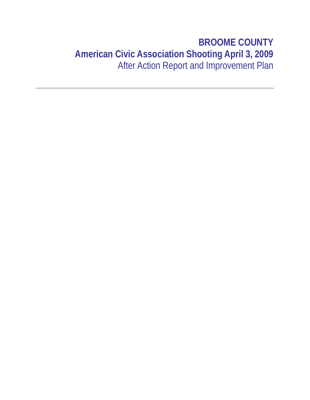# **BROOME COUNTY American Civic Association Shooting April 3, 2009** After Action Report and Improvement Plan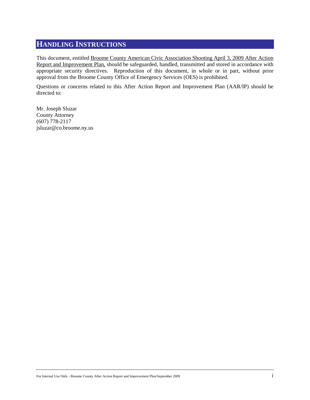# <span id="page-3-0"></span>**HANDLING INSTRUCTIONS**

This document, entitled Broome County American Civic Association Shooting April 3, 2009 After Action Report and Improvement Plan, should be safeguarded, handled, transmitted and stored in accordance with appropriate security directives. Reproduction of this document, in whole or in part, without prior approval from the Broome County Office of Emergency Services (OES) is prohibited.

Questions or concerns related to this After Action Report and Improvement Plan (AAR/IP) should be directed to:

Mr. Joseph Sluzar County Attorney (607) 778-2117 jsluzar@co.broome.ny.us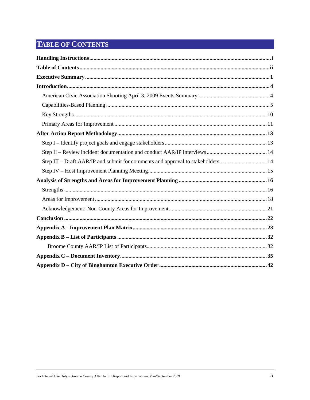# <span id="page-4-0"></span>**TABLE OF CONTENTS**

| Step III - Draft AAR/IP and submit for comments and approval to stakeholders 14 |  |
|---------------------------------------------------------------------------------|--|
|                                                                                 |  |
|                                                                                 |  |
|                                                                                 |  |
|                                                                                 |  |
|                                                                                 |  |
|                                                                                 |  |
|                                                                                 |  |
|                                                                                 |  |
|                                                                                 |  |
|                                                                                 |  |
|                                                                                 |  |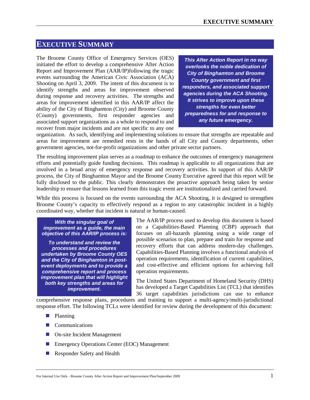# <span id="page-5-0"></span>**EXECUTIVE SUMMARY**

The Broome County Office of Emergency Services (OES) initiated the effort to develop a comprehensive After Action Report and Improvement Plan (AAR/IP)following the tragic events surrounding the American Civic Association (ACA) Shooting on April 3, 2009. The intent of this document is to identify strengths and areas for improvement observed during response and recovery activities. The strengths and areas for improvement identified in this AAR/IP affect the ability of the City of Binghamton (City) and Broome County (County) governments, first responder agencies and associated support organizations as a whole to respond to and recover from major incidents and are not specific to any one

*This After Action Report in no way overlooks the noble dedication of City of Binghamton and Broome County government and first responders, and associated support agencies during the ACA Shooting. It strives to improve upon these strengths for even better preparedness for and response to any future emergency.*

organization. As such, identifying and implementing solutions to ensure that strengths are repeatable and areas for improvement are remedied rests in the hands of all City and County departments, other government agencies, not-for-profit organizations and other private sector partners.

The resulting improvement plan serves as a roadmap to enhance the outcomes of emergency management efforts and potentially guide funding decisions. This roadmap is applicable to all organizations that are involved in a broad array of emergency response and recovery activities. In support of this AAR/IP process, the City of Binghamton Mayor and the Broome County Executive agreed that this report will be fully disclosed to the public. This clearly demonstrates the proactive approach being taken by senior leadership to ensure that lessons learned from this tragic event are institutionalized and carried forward.

While this process is focused on the events surrounding the ACA Shooting, it is designed to strengthen Broome County's capacity to effectively respond as a region to any catastrophic incident in a highly coordinated way, whether that incident is natural or human-caused.

*With the singular goal of improvement as a guide, the main objective of this AAR/IP process is:*

*To understand and review the processes and procedures undertaken by Broome County OES and the City of Binghamton in postevent deployments and to provide a comprehensive report and process improvement plan that will highlight both key strengths and areas for improvement.*

The AAR/IP process used to develop this document is based on a Capabilities-Based Planning (CBP) approach that focuses on all-hazards planning using a wide range of possible scenarios to plan, prepare and train for response and recovery efforts that can address modern-day challenges. Capabilities-Based Planning involves a functional analysis of operation requirements, identification of current capabilities, and cost-effective and efficient options for achieving full operation requirements.

The United States Department of Homeland Security (DHS) has developed a Target Capabilities List (TCL) that identifies 36 target capabilities jurisdictions can use to enhance

comprehensive response plans, procedures and training to support a multi-agency/multi-jurisdictional response effort. The following TCLs were identified for review during the development of this document:

- **Planning**
- **Communications**
- On-site Incident Management
- **Emergency Operations Center (EOC) Management**
- **Responder Safety and Health**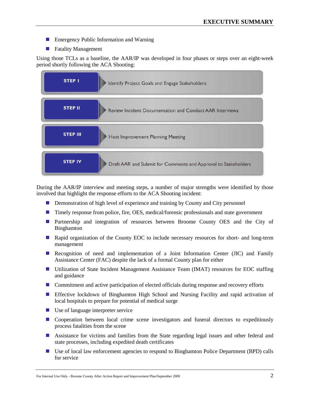- **Emergency Public Information and Warning**
- **Fatality Management**

Using those TCLs as a baseline, the AAR/IP was developed in four phases or steps over an eight-week period shortly following the ACA Shooting:



During the AAR/IP interview and meeting steps, a number of major strengths were identified by those involved that highlight the response efforts to the ACA Shooting incident:

- Demonstration of high level of experience and training by County and City personnel
- Timely response from police, fire, OES, medical/forensic professionals and state government
- **Partnership and integration of resources between Broome County OES and the City of** Binghamton
- **Rapid organization of the County EOC to include necessary resources for short- and long-term** management
- **Recognition of need and implementation of a Joint Information Center (JIC) and Family** Assistance Center (FAC) despite the lack of a formal County plan for either
- Utilization of State Incident Management Assistance Team (IMAT) resources for EOC staffing and guidance
- **Commitment and active participation of elected officials during response and recovery efforts**
- **Effective lockdown of Binghamton High School and Nursing Facility and rapid activation of** local hospitals to prepare for potential of medical surge
- Use of language interpreter service
- **O** Cooperation between local crime scene investigators and funeral directors to expeditiously process fatalities from the scene
- Assistance for victims and families from the State regarding legal issues and other federal and state processes, including expedited death certificates
- Use of local law enforcement agencies to respond to Binghamton Police Department (BPD) calls for service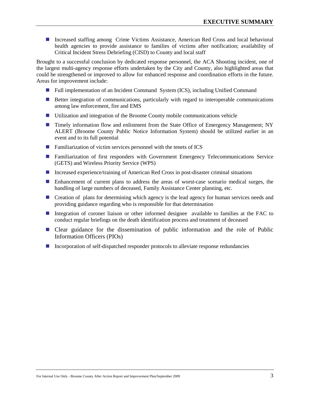Increased staffing among Crime Victims Assistance, American Red Cross and local behavioral health agencies to provide assistance to families of victims after notification; availability of Critical Incident Stress Debriefing (CISD) to County and local staff

Brought to a successful conclusion by dedicated response personnel, the ACA Shooting incident, one of the largest multi-agency response efforts undertaken by the City and County, also highlighted areas that could be strengthened or improved to allow for enhanced response and coordination efforts in the future. Areas for improvement include:

- Full implementation of an Incident Command System (ICS), including Unified Command
- **Better integration of communications, particularly with regard to interoperable communications** among law enforcement, fire and EMS
- Utilization and integration of the Broome County mobile communications vehicle
- **Timely information flow and enlistment from the State Office of Emergency Management; NY** ALERT (Broome County Public Notice Information System) should be utilized earlier in an event and to its full potential
- $\blacksquare$  Familiarization of victim services personnel with the tenets of ICS
- Familiarization of first responders with Government Emergency Telecommunications Service (GETS) and Wireless Priority Service (WPS)
- Increased experience/training of American Red Cross in post-disaster criminal situations
- Enhancement of current plans to address the areas of worst-case scenario medical surges, the handling of large numbers of deceased, Family Assistance Center planning, etc.
- **E** Creation of plans for determining which agency is the lead agency for human services needs and providing guidance regarding who is responsible for that determination
- Integration of coroner liaison or other informed designee available to families at the FAC to conduct regular briefings on the death identification process and treatment of deceased
- Clear guidance for the dissemination of public information and the role of Public Information Officers (PIOs)
- Incorporation of self-dispatched responder protocols to alleviate response redundancies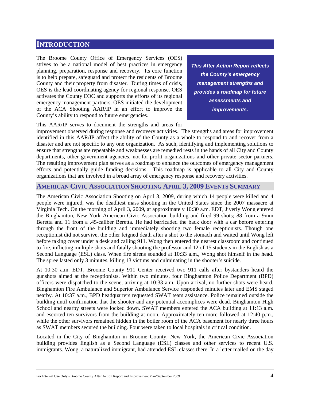## <span id="page-8-0"></span>**INTRODUCTION**

The Broome County Office of Emergency Services (OES) strives to be a national model of best practices in emergency planning, preparation, response and recovery. Its core function is to help prepare, safeguard and protect the residents of Broome County and their property from disaster. During times of crisis, OES is the lead coordinating agency for regional response. OES activates the County EOC and supports the efforts of its regional emergency management partners. OES initiated the development of the ACA Shooting AAR/IP in an effort to improve the County's ability to respond to future emergencies.

*This After Action Report reflects the County's emergency management strengths and provides a roadmap for future assessments and improvements.*

This AAR/IP serves to document the strengths and areas for

improvement observed during response and recovery activities. The strengths and areas for improvement identified in this AAR/IP affect the ability of the County as a whole to respond to and recover from a disaster and are not specific to any one organization. As such, identifying and implementing solutions to ensure that strengths are repeatable and weaknesses are remedied rests in the hands of all City and County departments, other government agencies, not-for-profit organizations and other private sector partners. The resulting improvement plan serves as a roadmap to enhance the outcomes of emergency management efforts and potentially guide funding decisions. This roadmap is applicable to all City and County organizations that are involved in a broad array of emergency response and recovery activities.

#### <span id="page-8-1"></span>**AMERICAN CIVIC ASSOCIATION SHOOTING APRIL 3, 2009 EVENTS SUMMARY**

The American Civic Association Shooting on April 3, 2009, during which 14 people were killed and 4 people were injured, was the deadliest mass shooting in the United States since the 2007 massacre at Virginia Tech. On the morning of April 3, 2009, at approximately 10:30 a.m. EDT, Jiverly Wong entered the Binghamton, New York American Civic Association building and fired 99 shots; 88 from a 9mm Beretta and 11 from a .45-caliber Beretta. He had barricaded the back door with a car before entering through the front of the building and immediately shooting two female receptionists. Though one receptionist did not survive, the other feigned death after a shot to the stomach and waited until Wong left before taking cover under a desk and calling 911. Wong then entered the nearest classroom and continued to fire, inflicting multiple shots and fatally shooting the professor and 12 of 15 students in the English as a Second Language (ESL) class. When fire sirens sounded at 10:33 a.m., Wong shot himself in the head. The spree lasted only 3 minutes, killing 13 victims and culminating in the shooter's suicide.

At 10:30 a.m. EDT, Broome County 911 Center received two 911 calls after bystanders heard the gunshots aimed at the receptionists. Within two minutes, four Binghamton Police Department (BPD) officers were dispatched to the scene, arriving at 10:33 a.m. Upon arrival, no further shots were heard. Binghamton Fire Ambulance and Superior Ambulance Service responded minutes later and EMS staged nearby. At 10:37 a.m., BPD headquarters requested SWAT team assistance. Police remained outside the building until confirmation that the shooter and any potential accomplices were dead. Binghamton High School and nearby streets were locked down. SWAT members entered the ACA building at 11:13 a.m. and escorted ten survivors from the building at noon. Approximately ten more followed at 12:40 p.m., while the other survivors remained hidden in the boiler room of the ACA basement for nearly three hours as SWAT members secured the building. Four were taken to local hospitals in critical condition.

Located in the City of Binghamton in Broome County, New York, the American Civic Association building provides English as a Second Language (ESL) classes and other services to recent U.S. immigrants. Wong, a naturalized immigrant, had attended ESL classes there. In a letter mailed on the day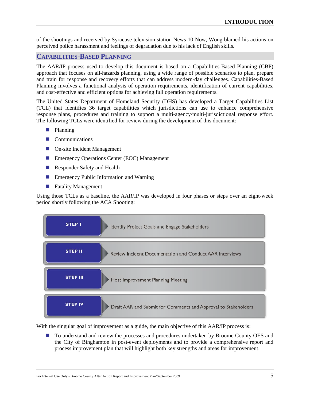of the shootings and received by Syracuse television station News 10 Now, Wong blamed his actions on perceived police harassment and feelings of degradation due to his lack of English skills.

# <span id="page-9-0"></span>**CAPABILITIES-BASED PLANNING**

The AAR/IP process used to develop this document is based on a Capabilities-Based Planning (CBP) approach that focuses on all-hazards planning, using a wide range of possible scenarios to plan, prepare and train for response and recovery efforts that can address modern-day challenges. Capabilities-Based Planning involves a functional analysis of operation requirements, identification of current capabilities, and cost-effective and efficient options for achieving full operation requirements.

The United States Department of Homeland Security (DHS) has developed a Target Capabilities List (TCL) that identifies 36 target capabilities which jurisdictions can use to enhance comprehensive response plans, procedures and training to support a multi-agency/multi-jurisdictional response effort. The following TCLs were identified for review during the development of this document:

- **Planning**
- **Communications**
- On-site Incident Management
- **Emergency Operations Center (EOC) Management**
- **Responder Safety and Health**
- **EMEL Emergency Public Information and Warning**
- **Fatality Management**

Using those TCLs as a baseline, the AAR/IP was developed in four phases or steps over an eight-week period shortly following the ACA Shooting:



With the singular goal of improvement as a guide, the main objective of this AAR/IP process is:

■ To understand and review the processes and procedures undertaken by Broome County OES and the City of Binghamton in post-event deployments and to provide a comprehensive report and process improvement plan that will highlight both key strengths and areas for improvement.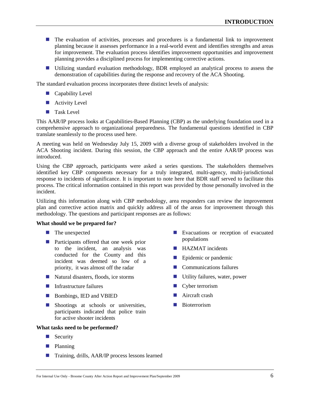- The evaluation of activities, processes and procedures is a fundamental link to improvement planning because it assesses performance in a real-world event and identifies strengths and areas for improvement. The evaluation process identifies improvement opportunities and improvement planning provides a disciplined process for implementing corrective actions.
- Utilizing standard evaluation methodology, BDR employed an analytical process to assess the demonstration of capabilities during the response and recovery of the ACA Shooting.

The standard evaluation process incorporates three distinct levels of analysis:

- **Capability Level**
- Activity Level
- **Task Level**

This AAR/IP process looks at Capabilities-Based Planning (CBP) as the underlying foundation used in a comprehensive approach to organizational preparedness. The fundamental questions identified in CBP translate seamlessly to the process used here.

A meeting was held on Wednesday July 15, 2009 with a diverse group of stakeholders involved in the ACA Shooting incident. During this session, the CBP approach and the entire AAR/IP process was introduced.

Using the CBP approach, participants were asked a series questions. The stakeholders themselves identified key CBP components necessary for a truly integrated, multi-agency, multi-jurisdictional response to incidents of significance. It is important to note here that BDR staff served to facilitate this process. The critical information contained in this report was provided by those personally involved in the incident.

Utilizing this information along with CBP methodology, area responders can review the improvement plan and corrective action matrix and quickly address all of the areas for improvement through this methodology. The questions and participant responses are as follows:

#### **What should we be prepared for?**

- **The unexpected**
- **Participants offered that one week prior** to the incident, an analysis was conducted for the County and this incident was deemed so low of a priority, it was almost off the radar
- Natural disasters, floods, ice storms
- $\blacksquare$  Infrastructure failures
- Bombings, IED and VBIED
- Shootings at schools or universities, participants indicated that police train for active shooter incidents

#### **What tasks need to be performed?**

- $\blacksquare$  Security
- **Planning**
- Training, drills, AAR/IP process lessons learned
- **Exacuations or reception of evacuated** populations
- **HAZMAT** incidents
- **Exercise Epidemic or pandemic**
- **Communications failures**
- Utility failures, water, power
- **Cyber terrorism**
- Aircraft crash
- **Bioterrorism**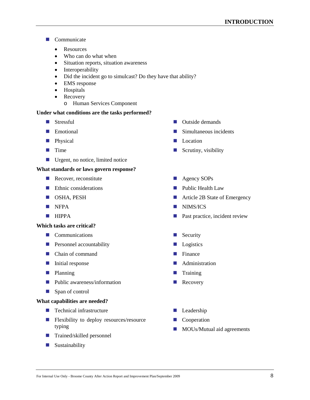- Communicate
	- **Resources**
	- Who can do what when
	- Situation reports, situation awareness
	- Interoperability
	- Did the incident go to simulcast? Do they have that ability?
	- EMS response
	- Hospitals
	- Recovery
		- o Human Services Component

#### **Under what conditions are the tasks performed?**

- Stressful
- **Emotional**
- **Physical**
- **T** Time
- **Urgent, no notice, limited notice**

#### **What standards or laws govern response?**

- Recover, reconstitute
- Ethnic considerations
- **OSHA, PESH**
- **NFPA**
- $HIPPA$

#### **Which tasks are critical?**

- **Communications**
- **Personnel accountability**
- **Chain of command**
- $\blacksquare$  Initial response
- **Planning**
- **Public awareness/information**
- **Span of control**

#### **What capabilities are needed?**

- **Technical infrastructure**
- **Flexibility to deploy resources/resource** typing
- **Trained/skilled personnel**
- Sustainability
- **D** Outside demands
- $\blacksquare$  Simultaneous incidents
- **Location**
- $\blacksquare$  Scrutiny, visibility
- **Agency SOPs**
- **Public Health Law**
- Article 2B State of Emergency
- **NIMS/ICS**
- **Past practice, incident review**
- $\blacksquare$  Security
- **Logistics**
- **Finance**
- **Administration**
- $\blacksquare$  Training
- **Recovery**
- **Leadership**
- **Cooperation**
- **MOUs/Mutual aid agreements**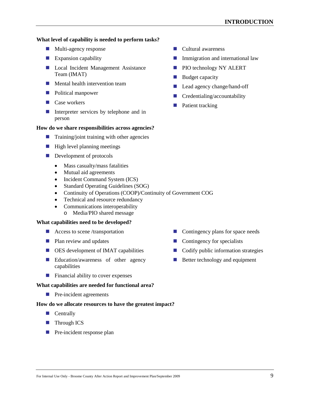#### **What level of capability is needed to perform tasks?**

- **Multi-agency response**
- **Expansion capability**
- **Local Incident Management Assistance** Team (IMAT)
- **Mental health intervention team**
- **Political manpower**
- Case workers
- Interpreter services by telephone and in person

#### **How do we share responsibilities across agencies?**

- $\blacksquare$  Training/joint training with other agencies
- $\blacksquare$  High level planning meetings
- **Development of protocols** 
	- Mass casualty/mass fatalities
	- Mutual aid agreements
	- Incident Command System (ICS)
	- Standard Operating Guidelines (SOG)
	- Continuity of Operations (COOP)/Continuity of Government COG
	- Technical and resource redundancy
	- Communications interoperability
		- o Media/PIO shared message

#### **What capabilities need to be developed?**

- $\blacksquare$  Access to scene /transportation
- **Plan review and updates**
- OES development of IMAT capabilities
- **Exercise** Education/awareness of other agency capabilities
- $\blacksquare$  Financial ability to cover expenses

#### **What capabilities are needed for functional area?**

**Pre-incident agreements** 

#### **How do we allocate resources to have the greatest impact?**

- Centrally
- **Through ICS**
- **Pre-incident response plan**
- **Cultural awareness**
- **Immigration and international law**
- **PIO technology NY ALERT**
- **Budget capacity**
- Lead agency change/hand-off
- $\blacksquare$  Credentialing/accountability
- **Patient tracking**

- Contingency plans for space needs
- $\blacksquare$  Contingency for specialists
- $\Box$  Codify public information strategies
- Better technology and equipment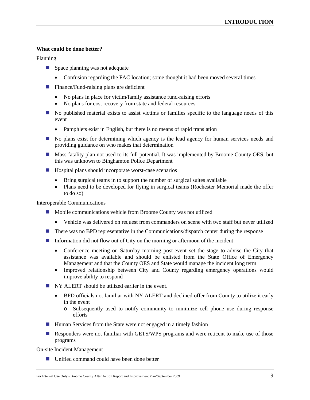#### **What could be done better?**

#### Planning

- **Space planning was not adequate** 
	- Confusion regarding the FAC location; some thought it had been moved several times
- $\blacksquare$  Finance/Fund-raising plans are deficient
	- No plans in place for victim/family assistance fund-raising efforts
	- No plans for cost recovery from state and federal resources
- No published material exists to assist victims or families specific to the language needs of this event
	- Pamphlets exist in English, but there is no means of rapid translation
- No plans exist for determining which agency is the lead agency for human services needs and providing guidance on who makes that determination
- **Mass fatality plan not used to its full potential. It was implemented by Broome County OES, but** this was unknown to Binghamton Police Department
- $\blacksquare$  Hospital plans should incorporate worst-case scenarios
	- Bring surgical teams in to support the number of surgical suites available
	- Plans need to be developed for flying in surgical teams (Rochester Memorial made the offer to do so)

#### Interoperable Communications

- Mobile communications vehicle from Broome County was not utilized
	- Vehicle was delivered on request from commanders on scene with two staff but never utilized
- **There was no BPD representative in the Communications/dispatch center during the response**
- Information did not flow out of City on the morning or afternoon of the incident
	- Conference meeting on Saturday morning post-event set the stage to advise the City that assistance was available and should be enlisted from the State Office of Emergency Management and that the County OES and State would manage the incident long term
	- Improved relationship between City and County regarding emergency operations would improve ability to respond
- NY ALERT should be utilized earlier in the event.
	- BPD officials not familiar with NY ALERT and declined offer from County to utilize it early in the event
		- o Subsequently used to notify community to minimize cell phone use during response efforts
- $\blacksquare$  Human Services from the State were not engaged in a timely fashion
- **Responders were not familiar with GETS/WPS programs and were reticent to make use of those** programs

#### On-site Incident Management

■ Unified command could have been done better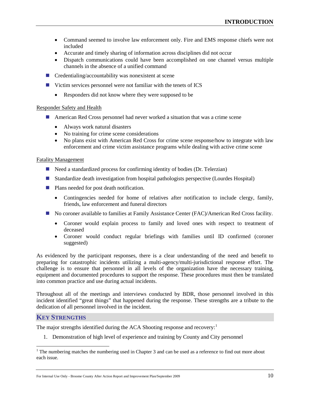- Command seemed to involve law enforcement only. Fire and EMS response chiefs were not included
- Accurate and timely sharing of information across disciplines did not occur
- Dispatch communications could have been accomplished on one channel versus multiple channels in the absence of a unified command
- $\blacksquare$  Credentialing/accountability was nonexistent at scene
- Victim services personnel were not familiar with the tenets of ICS
	- Responders did not know where they were supposed to be

#### Responder Safety and Health

- American Red Cross personnel had never worked a situation that was a crime scene
	- Always work natural disasters
	- No training for crime scene considerations
	- No plans exist with American Red Cross for crime scene response/how to integrate with law enforcement and crime victim assistance programs while dealing with active crime scene

#### Fatality Management

- Need a standardized process for confirming identity of bodies (Dr. Telerzian)
- Standardize death investigation from hospital pathologists perspective (Lourdes Hospital)
- **Plans needed for post death notification.** 
	- Contingencies needed for home of relatives after notification to include clergy, family, friends, law enforcement and funeral directors
- No coroner available to families at Family Assistance Center (FAC)/American Red Cross facility.
	- Coroner would explain process to family and loved ones with respect to treatment of deceased
	- Coroner would conduct regular briefings with families until ID confirmed (coroner suggested)

As evidenced by the participant responses, there is a clear understanding of the need and benefit to preparing for catastrophic incidents utilizing a multi-agency/multi-jurisdictional response effort. The challenge is to ensure that personnel in all levels of the organization have the necessary training, equipment and documented procedures to support the response. These procedures must then be translated into common practice and use during actual incidents.

Throughout all of the meetings and interviews conducted by BDR, those personnel involved in this incident identified "great things" that happened during the response. These strengths are a tribute to the dedication of all personnel involved in the incident.

#### <span id="page-14-0"></span>**KEY STRENGTHS**

The major strengths identified during the ACA Shooting response and recovery: $1$ 

1. Demonstration of high level of experience and training by County and City personnel

<span id="page-14-1"></span><sup>&</sup>lt;sup>1</sup> The numbering matches the numbering used in Chapter 3 and can be used as a reference to find out more about each issue.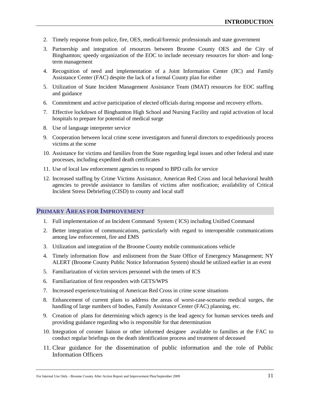- 2. Timely response from police, fire, OES, medical/forensic professionals and state government
- 3. Partnership and integration of resources between Broome County OES and the City of Binghamton; speedy organization of the EOC to include necessary resources for short- and longterm management
- 4. Recognition of need and implementation of a Joint Information Center (JIC) and Family Assistance Center (FAC) despite the lack of a formal County plan for either
- 5. Utilization of State Incident Management Assistance Team (IMAT) resources for EOC staffing and guidance
- 6. Commitment and active participation of elected officials during response and recovery efforts.
- 7. Effective lockdown of Binghamton High School and Nursing Facility and rapid activation of local hospitals to prepare for potential of medical surge
- 8. Use of language interpreter service
- 9. Cooperation between local crime scene investigators and funeral directors to expeditiously process victims at the scene
- 10. Assistance for victims and families from the State regarding legal issues and other federal and state processes, including expedited death certificates
- 11. Use of local law enforcement agencies to respond to BPD calls for service
- 12. Increased staffing by Crime Victims Assistance, American Red Cross and local behavioral health agencies to provide assistance to families of victims after notification; availability of Critical Incident Stress Debriefing (CISD) to county and local staff

#### <span id="page-15-0"></span>**PRIMARY AREAS FOR IMPROVEMENT**

- 1. Full implementation of an Incident Command System ( ICS) including Unified Command
- 2. Better integration of communications, particularly with regard to interoperable communications among law enforcement, fire and EMS
- 3. Utilization and integration of the Broome County mobile communications vehicle
- 4. Timely information flow and enlistment from the State Office of Emergency Management; NY ALERT (Broome County Public Notice Information System) should be utilized earlier in an event
- 5. Familiarization of victim services personnel with the tenets of ICS
- 6. Familiarization of first responders with GETS/WPS
- 7. Increased experience/training of American Red Cross in crime scene situations
- 8. Enhancement of current plans to address the areas of worst-case-scenario medical surges, the handling of large numbers of bodies, Family Assistance Center (FAC) planning, etc.
- 9. Creation of plans for determining which agency is the lead agency for human services needs and providing guidance regarding who is responsible for that determination
- 10. Integration of coroner liaison or other informed designee available to families at the FAC to conduct regular briefings on the death identification process and treatment of deceased
- 11. Clear guidance for the dissemination of public information and the role of Public Information Officers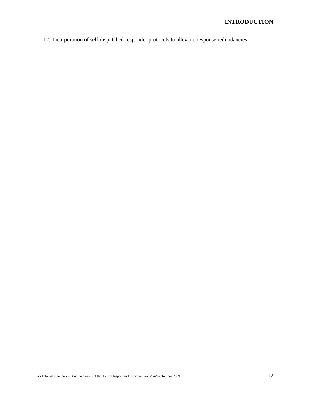12. Incorporation of self-dispatched responder protocols to alleviate response redundancies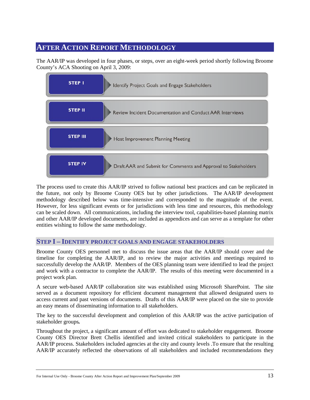# <span id="page-17-0"></span>**AFTER ACTION REPORT METHODOLOGY**

The AAR/IP was developed in four phases, or steps, over an eight-week period shortly following Broome County's ACA Shooting on April 3, 2009:



The process used to create this AAR/IP strived to follow national best practices and can be replicated in the future, not only by Broome County OES but by other jurisdictions. The AAR/IP development methodology described below was time-intensive and corresponded to the magnitude of the event. However, for less significant events or for jurisdictions with less time and resources, this methodology can be scaled down. All communications, including the interview tool, capabilities-based planning matrix and other AAR/IP developed documents, are included as appendices and can serve as a template for other entities wishing to follow the same methodology.

#### <span id="page-17-1"></span>**STEP I – IDENTIFY PROJECT GOALS AND ENGAGE STAKEHOLDERS**

Broome County OES personnel met to discuss the issue areas that the AAR/IP should cover and the timeline for completing the AAR/IP, and to review the major activities and meetings required to successfully develop the AAR/IP. Members of the OES planning team were identified to lead the project and work with a contractor to complete the AAR/IP. The results of this meeting were documented in a project work plan.

A secure web-based AAR/IP collaboration site was established using Microsoft SharePoint. The site served as a document repository for efficient document management that allowed designated users to access current and past versions of documents. Drafts of this AAR/IP were placed on the site to provide an easy means of disseminating information to all stakeholders.

The key to the successful development and completion of this AAR/IP was the active participation of stakeholder groups*.*

Throughout the project, a significant amount of effort was dedicated to stakeholder engagement. Broome County OES Director Brett Chellis identified and invited critical stakeholders to participate in the AAR/IP process. Stakeholders included agencies at the city and county levels .To ensure that the resulting AAR/IP accurately reflected the observations of all stakeholders and included recommendations they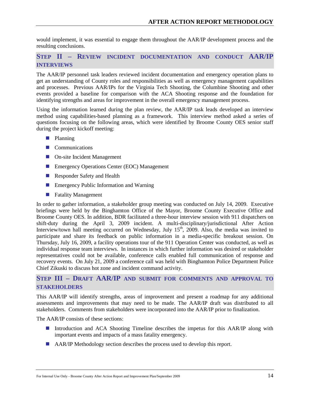would implement, it was essential to engage them throughout the AAR/IP development process and the resulting conclusions.

# <span id="page-18-0"></span>**STEP II – REVIEW INCIDENT DOCUMENTATION AND CONDUCT AAR/IP INTERVIEWS**

The AAR/IP personnel task leaders reviewed incident documentation and emergency operation plans to get an understanding of County roles and responsibilities as well as emergency management capabilities and processes. Previous AAR/IPs for the Virginia Tech Shooting, the Columbine Shooting and other events provided a baseline for comparison with the ACA Shooting response and the foundation for identifying strengths and areas for improvement in the overall emergency management process.

Using the information learned during the plan review, the AAR/IP task leads developed an interview method using capabilities-based planning as a framework. This interview method asked a series of questions focusing on the following areas, which were identified by Broome County OES senior staff during the project kickoff meeting:

- **Planning**
- **Communications**
- On-site Incident Management
- **Emergency Operations Center (EOC) Management**
- Responder Safety and Health
- Emergency Public Information and Warning
- **Fatality Management**

In order to gather information, a stakeholder group meeting was conducted on July 14, 2009. Executive briefings were held by the Binghamton Office of the Mayor, Broome County Executive Office and Broome County OES. In addition, BDR facilitated a three-hour interview session with 911 dispatchers on shift-duty during the April 3, 2009 incident. A multi-disciplinary/jurisdictional After Action Interview/town hall meeting occurred on Wednesday, July 15<sup>th</sup>, 2009. Also, the media was invited to participate and share its feedback on public information in a media-specific breakout session. On Thursday, July 16, 2009, a facility operations tour of the 911 Operation Center was conducted, as well as individual response team interviews. In instances in which further information was desired or stakeholder representatives could not be available, conference calls enabled full communication of response and recovery events. On July 21, 2009 a conference call was held with Binghamton Police Department Police Chief Zikuski to discuss hot zone and incident command activity.

# <span id="page-18-1"></span>**STEP III – DRAFT AAR/IP AND SUBMIT FOR COMMENTS AND APPROVAL TO STAKEHOLDERS**

This AAR/IP will identify strengths, areas of improvement and present a roadmap for any additional assessments and improvements that may need to be made. The AAR/IP draft was distributed to all stakeholders. Comments from stakeholders were incorporated into the AAR/IP prior to finalization.

The AAR/IP consists of these sections:

- Introduction and ACA Shooting Timeline describes the impetus for this AAR/IP along with important events and impacts of a mass fatality emergency.
- AAR/IP Methodology section describes the process used to develop this report.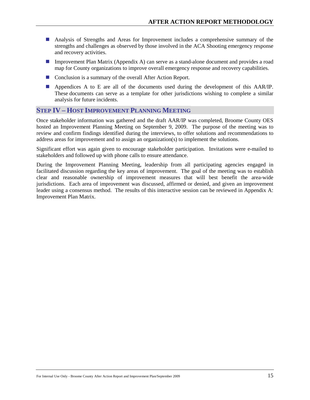- Analysis of Strengths and Areas for Improvement includes a comprehensive summary of the strengths and challenges as observed by those involved in the ACA Shooting emergency response and recovery activities.
- Improvement Plan Matrix (Appendix A) can serve as a stand-alone document and provides a road map for County organizations to improve overall emergency response and recovery capabilities.
- Conclusion is a summary of the overall After Action Report.
- Appendices A to E are all of the documents used during the development of this AAR/IP. These documents can serve as a template for other jurisdictions wishing to complete a similar analysis for future incidents.

#### <span id="page-19-0"></span>**STEP IV – HOST IMPROVEMENT PLANNING MEETING**

Once stakeholder information was gathered and the draft AAR/IP was completed, Broome County OES hosted an Improvement Planning Meeting on September 9, 2009. The purpose of the meeting was to review and confirm findings identified during the interviews, to offer solutions and recommendations to address areas for improvement and to assign an organization(s) to implement the solutions.

Significant effort was again given to encourage stakeholder participation. Invitations were e-mailed to stakeholders and followed up with phone calls to ensure attendance.

During the Improvement Planning Meeting, leadership from all participating agencies engaged in facilitated discussion regarding the key areas of improvement. The goal of the meeting was to establish clear and reasonable ownership of improvement measures that will best benefit the area-wide jurisdictions. Each area of improvement was discussed, affirmed or denied, and given an improvement leader using a consensus method. The results of this interactive session can be reviewed in Appendix A: Improvement Plan Matrix.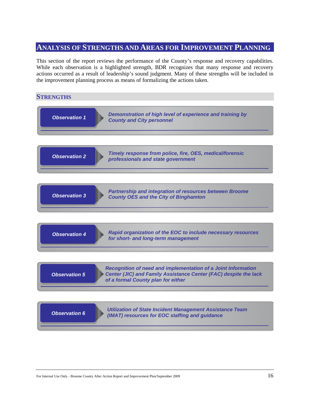<span id="page-20-0"></span>This section of the report reviews the performance of the County's response and recovery capabilities. While each observation is a highlighted strength, BDR recognizes that many response and recovery actions occurred as a result of leadership's sound judgment. Many of these strengths will be included in the improvement planning process as means of formalizing the actions taken.

# <span id="page-20-1"></span>**STRENGTHS** *Demonstration of high level of experience and training by County and City personnel Observation 1 Timely response from police, fire, OES, medical/forensic professionals and state government Observation 2 Partnership and integration of resources between Broome Observation 3 County OES and the City of Binghamton Recognition of need and implementation of a Joint Information Center (JIC) and Family Assistance Center (FAC) despite the lack of a formal County plan for either Observation 5 Utilization of State Incident Management Assistance Team (IMAT) resources for EOC staffing and guidance Observation 6 Rapid organization of the EOC to include necessary resources for short- and long-term management Observation 4*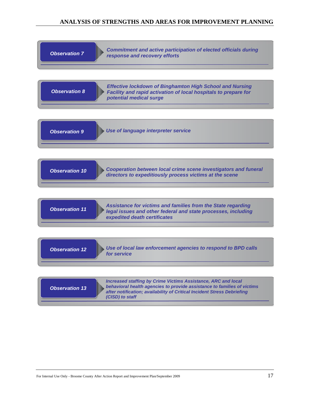| <b>Observation 7</b>  | <b>Commitment and active participation of elected officials during</b><br>response and recovery efforts                                                                                                                                       |
|-----------------------|-----------------------------------------------------------------------------------------------------------------------------------------------------------------------------------------------------------------------------------------------|
| <b>Observation 8</b>  | <b>Effective lockdown of Binghamton High School and Nursing</b><br>Facility and rapid activation of local hospitals to prepare for<br>potential medical surge                                                                                 |
| <b>Observation 9</b>  | Use of language interpreter service                                                                                                                                                                                                           |
| <b>Observation 10</b> | <b>Cooperation between local crime scene investigators and funeral</b><br>directors to expeditiously process victims at the scene                                                                                                             |
| <b>Observation 11</b> | Assistance for victims and families from the State regarding<br>legal issues and other federal and state processes, including<br>expedited death certificates                                                                                 |
| <b>Observation 12</b> | Use of local law enforcement agencies to respond to BPD calls<br>for service                                                                                                                                                                  |
| <b>Observation 13</b> | <b>Increased staffing by Crime Victims Assistance, ARC and local</b><br>behavioral health agencies to provide assistance to families of victims<br>after notification; availability of Critical Incident Stress Debriefing<br>(CISD) to staff |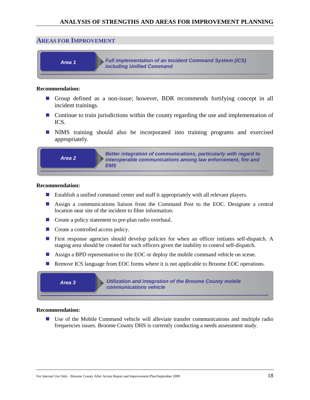#### <span id="page-22-0"></span>**AREAS FOR IMPROVEMENT**



#### **Recommendation:**

- Group defined as a non-issue; however, BDR recommends fortifying concept in all incident trainings.
- **Continue to train jurisdictions within the county regarding the use and implementation of** ICS.
- NIMS training should also be incorporated into training programs and exercised appropriately.



*Better integration of communications, particularly with regard to interoperable communications among law enforcement, fire and EMS*

#### **Recommendation:**

- Establish a unified command center and staff it appropriately with all relevant players.
- Assign a communications liaison from the Command Post to the EOC. Designate a central location near site of the incident to filter information.
- Create a policy statement to pre-plan radio overhaul.
- Create a controlled access policy.
- **First response agencies should develop policies for when an officer initiates self-dispatch.** A staging area should be created for such officers given the inability to control self-dispatch.
- Assign a BPD representative to the EOC or deploy the mobile command vehicle on scene.
- **Remove ICS language from EOC forms where it is not applicable to Broome EOC operations.**

*Area 3*

*Utilization and integration of the Broome County mobile communications vehicle*

#### **Recommendation:**

 Use of the Mobile Command vehicle will alleviate transfer communications and multiple radio frequencies issues. Broome County DHS is currently conducting a needs assessment study.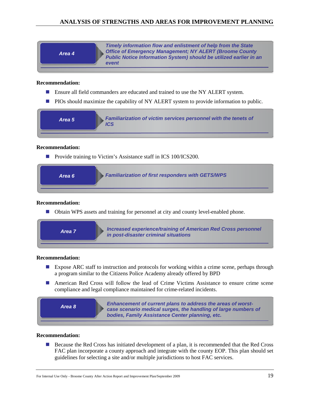| Area 4 | Timely information flow and enlistment of help from the State<br><b>Office of Emergency Management; NY ALERT (Broome County)</b><br>Public Notice Information System) should be utilized earlier in an<br>event |
|--------|-----------------------------------------------------------------------------------------------------------------------------------------------------------------------------------------------------------------|
|--------|-----------------------------------------------------------------------------------------------------------------------------------------------------------------------------------------------------------------|

#### **Recommendation:**

- **E** Ensure all field commanders are educated and trained to use the NY ALERT system.
- **PIOs should maximize the capability of NY ALERT system to provide information to public.**

| Familiarization of victim services personnel with the tenets of<br>Area 5 |
|---------------------------------------------------------------------------|
|---------------------------------------------------------------------------|

#### **Recommendation:**

■ Provide training to Victim's Assistance staff in ICS 100/ICS200.



#### **Recommendation:**

Obtain WPS assets and training for personnel at city and county level-enabled phone.

| Area 7 | <b>Increased experience/training of American Red Cross personnel</b><br>in post-disaster criminal situations |
|--------|--------------------------------------------------------------------------------------------------------------|
|        |                                                                                                              |

#### **Recommendation:**

- **Expose ARC** staff to instruction and protocols for working within a crime scene, perhaps through a program similar to the Citizens Police Academy already offered by BPD
- American Red Cross will follow the lead of Crime Victims Assistance to ensure crime scene compliance and legal compliance maintained for crime-related incidents.



#### **Recommendation:**

**Because the Red Cross has initiated development of a plan, it is recommended that the Red Cross** FAC plan incorporate a county approach and integrate with the county EOP. This plan should set guidelines for selecting a site and/or multiple jurisdictions to host FAC services.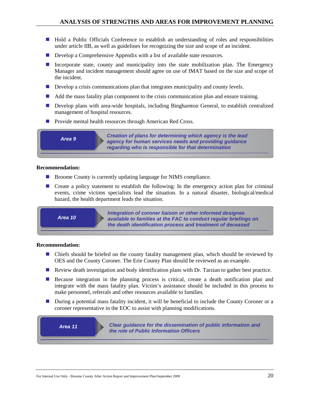- Hold a Public Officials Conference to establish an understanding of roles and responsibilities under article IIB, as well as guidelines for recognizing the size and scope of an incident.
- Develop a Comprehensive Appendix with a list of available state resources.
- Incorporate state, county and municipality into the state mobilization plan. The Emergency Manager and incident management should agree on use of IMAT based on the size and scope of the incident.
- $\blacksquare$  Develop a crisis communications plan that integrates municipality and county levels.
- Add the mass fatality plan component to the crisis communication plan and ensure training.
- **Develop plans with area-wide hospitals, including Binghamton General, to establish centralized** management of hospital resources.
- Provide mental health resources through American Red Cross.



*Creation of plans for determining which agency is the lead agency for human services needs and providing guidance regarding who is responsible for that determination*

#### **Recommendation:**

- Broome County is currently updating language for NIMS compliance.
- Create a policy statement to establish the following: In the emergency action plan for criminal events, crime victims specialists lead the situation. In a natural disaster, biological/medical hazard, the health department leads the situation.

*Area 10*

*Integration of coroner liaison or other informed designee available to families at the FAC to conduct regular briefings on the death identification process and treatment of deceased*

#### **Recommendation:**

- Chiefs should be briefed on the county fatality management plan, which should be reviewed by OES and the County Coroner. The Erie County Plan should be reviewed as an example.
- **Review death investigation and body identification plans with Dr. Tarzian to gather best practice.**
- **Because integration in the planning process is critical, create a death notification plan and** integrate with the mass fatality plan. Victim's assistance should be included in this process to make personnel, referrals and other resources available to families.
- **During a potential mass fatality incident, it will be beneficial to include the County Coroner or a** coroner representative in the EOC to assist with planning modifications.

*Area 11*

*Clear guidance for the dissemination of public information and the role of Public Information Officers*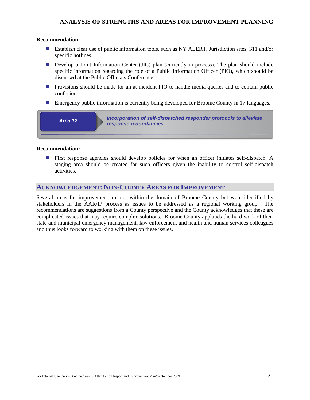#### **Recommendation:**

- Establish clear use of public information tools, such as NY ALERT, Jurisdiction sites, 311 and/or specific hotlines.
- Develop a Joint Information Center (JIC) plan (currently in process). The plan should include specific information regarding the role of a Public Information Officer (PIO), which should be discussed at the Public Officials Conference.
- **Provisions should be made for an at-incident PIO to handle media queries and to contain public** confusion.
- **Emergency public information is currently being developed for Broome County in 17 languages.**



#### **Recommendation:**

**First response agencies should develop policies for when an officer initiates self-dispatch.** A staging area should be created for such officers given the inability to control self-dispatch activities.

## <span id="page-25-0"></span>**ACKNOWLEDGEMENT: NON-COUNTY AREAS FOR IMPROVEMENT**

Several areas for improvement are not within the domain of Broome County but were identified by stakeholders in the AAR/IP process as issues to be addressed as a regional working group. The recommendations are suggestions from a County perspective and the County acknowledges that these are complicated issues that may require complex solutions. Broome County applauds the hard work of their state and municipal emergency management, law enforcement and health and human services colleagues and thus looks forward to working with them on these issues.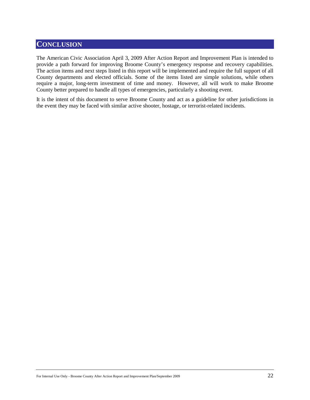# <span id="page-26-0"></span>**CONCLUSION**

The American Civic Association April 3, 2009 After Action Report and Improvement Plan is intended to provide a path forward for improving Broome County's emergency response and recovery capabilities. The action items and next steps listed in this report will be implemented and require the full support of all County departments and elected officials. Some of the items listed are simple solutions, while others require a major, long-term investment of time and money. However, all will work to make Broome County better prepared to handle all types of emergencies, particularly a shooting event.

It is the intent of this document to serve Broome County and act as a guideline for other jurisdictions in the event they may be faced with similar active shooter, hostage, or terrorist-related incidents.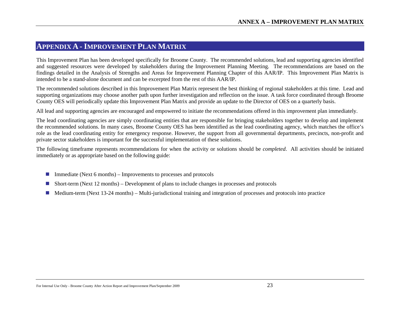# **APPENDIX A - IMPROVEMENT PLAN MATRIX**

This Improvement Plan has been developed specifically for Broome County. The recommended solutions, lead and supporting agencies identified and suggested resources were developed by stakeholders during the Improvement Planning Meeting. The recommendations are based on the findings detailed in the Analysis of Strengths and Areas for Improvement Planning Chapter of this AAR/IP. This Improvement Plan Matrix is intended to be a stand-alone document and can be excerpted from the rest of this AAR/IP.

The recommended solutions described in this Improvement Plan Matrix represent the best thinking of regional stakeholders at this time. Lead and supporting organizations may choose another path upon further investigation and reflection on the issue. A task force coordinated through Broome County OES will periodically update this Improvement Plan Matrix and provide an update to the Director of OES on a quarterly basis.

All lead and supporting agencies are encouraged and empowered to initiate the recommendations offered in this improvement plan immediately.

<span id="page-27-0"></span>The lead coordinating agencies are simply coordinating entities that are responsible for bringing stakeholders together to develop and implement the recommended solutions. In many cases, Broome County OES has been identified as the lead coordinating agency, which matches the office's role as the lead coordinating entity for emergency response. However, the support from all governmental departments, precincts, non-profit and private sector stakeholders is important for the successful implementation of these solutions.

The following timeframe represents recommendations for when the activity or solutions should be *completed*. All activities should be initiated immediately or as appropriate based on the following guide:

- Immediate (Next 6 months) Improvements to processes and protocols
- Short-term (Next 12 months) Development of plans to include changes in processes and protocols
- $\blacksquare$  Medium-term (Next 13-24 months) Multi-jurisdictional training and integration of processes and protocols into practice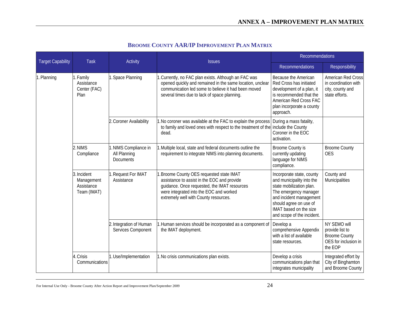| <b>Target Capability</b>                    | Task                                                   | Activity                                                  | <b>Issues</b>                                                                                                                                                                                                             | Recommendations                                                                                                                                                                                                          |                                                                                            |
|---------------------------------------------|--------------------------------------------------------|-----------------------------------------------------------|---------------------------------------------------------------------------------------------------------------------------------------------------------------------------------------------------------------------------|--------------------------------------------------------------------------------------------------------------------------------------------------------------------------------------------------------------------------|--------------------------------------------------------------------------------------------|
|                                             |                                                        |                                                           |                                                                                                                                                                                                                           | <b>Recommendations</b>                                                                                                                                                                                                   | Responsibility                                                                             |
| 1. Planning<br>1. Family<br>Plan<br>2. NIMS | Assistance<br>Center (FAC)                             | 1. Space Planning                                         | 1. Currently, no FAC plan exists. Although an FAC was<br>opened quickly and remained in the same location, unclear<br>communication led some to believe it had been moved<br>several times due to lack of space planning. | Because the American<br>Red Cross has initiated<br>development of a plan, it<br>is recommended that the<br>American Red Cross FAC<br>plan incorporate a county<br>approach.                                              | American Red Cross<br>in coordination with<br>city, county and<br>state efforts.           |
|                                             |                                                        | 2. Coroner Availability                                   | 1. No coroner was available at the FAC to explain the process<br>to family and loved ones with respect to the treatment of the<br>dead.                                                                                   | During a mass fatality,<br>include the County<br>Coroner in the EOC<br>activation.                                                                                                                                       |                                                                                            |
|                                             | Compliance                                             | 1. NIMS Compliance in<br>All Planning<br><b>Documents</b> | 1. Multiple local, state and federal documents outline the<br>requirement to integrate NIMS into planning documents.                                                                                                      | Broome County is<br>currently updating<br>language for NIMS<br>compliance.                                                                                                                                               | <b>Broome County</b><br><b>OES</b>                                                         |
|                                             | 3. Incident<br>Management<br>Assistance<br>Team (IMAT) | 1. Request For IMAT<br>Assistance                         | Broome County OES requested state IMAT<br>assistance to assist in the EOC and provide<br>guidance. Once requested, the IMAT resources<br>were integrated into the EOC and worked<br>extremely well with County resources. | Incorporate state, county<br>and municipality into the<br>state mobilization plan.<br>The emergency manager<br>and incident management<br>should agree on use of<br>IMAT based on the size<br>and scope of the incident. | County and<br>Municipalities                                                               |
|                                             |                                                        | 2. Integration of Human<br>Services Component             | 1. Human services should be incorporated as a component of<br>the IMAT deployment.                                                                                                                                        | Develop a<br>comprehensive Appendix<br>with a list of available<br>state resources.                                                                                                                                      | NY SEMO will<br>provide list to<br><b>Broome County</b><br>OES for inclusion in<br>the EOP |
|                                             | 4. Crisis<br>Communications                            | 1. Use/Implementation                                     | 1. No crisis communications plan exists.                                                                                                                                                                                  | Develop a crisis<br>communications plan that<br>integrates municipality                                                                                                                                                  | Integrated effort by<br>City of Binghamton<br>and Broome County                            |

# **BROOME COUNTY AAR/IP IMPROVEMENT PLAN MATRIX**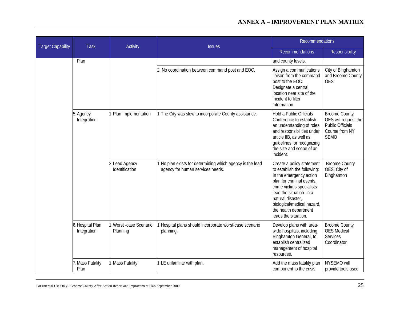| <b>Target Capability</b> | <b>Task</b>                     | Activity                             | <b>Issues</b>                                                                                  | <b>Recommendations</b>                                                                                                                                                                                                                                                        |                                                                                                          |
|--------------------------|---------------------------------|--------------------------------------|------------------------------------------------------------------------------------------------|-------------------------------------------------------------------------------------------------------------------------------------------------------------------------------------------------------------------------------------------------------------------------------|----------------------------------------------------------------------------------------------------------|
|                          |                                 |                                      |                                                                                                | <b>Recommendations</b>                                                                                                                                                                                                                                                        | Responsibility                                                                                           |
|                          | Plan                            |                                      |                                                                                                | and county levels.                                                                                                                                                                                                                                                            |                                                                                                          |
|                          |                                 |                                      | 2. No coordination between command post and EOC.                                               | Assign a communications<br>liaison from the command<br>post to the EOC.<br>Designate a central<br>location near site of the<br>incident to filter<br>information.                                                                                                             | City of Binghamton<br>and Broome County<br><b>OES</b>                                                    |
|                          | 5. Agency<br>Integration        | 1. Plan Implementation               | 1. The City was slow to incorporate County assistance.                                         | Hold a Public Officials<br>Conference to establish<br>an understanding of roles<br>and responsibilities under<br>article IIB, as well as<br>guidelines for recognizing<br>the size and scope of an<br>incident.                                                               | <b>Broome County</b><br>OES will request the<br><b>Public Officials</b><br>Course from NY<br><b>SEMO</b> |
|                          |                                 | 2. Lead Agency<br>Identification     | 1. No plan exists for determining which agency is the lead<br>agency for human services needs. | Create a policy statement<br>to establish the following:<br>In the emergency action<br>plan for criminal events,<br>crime victims specialists<br>lead the situation. In a<br>natural disaster,<br>biological/medical hazard,<br>the health department<br>leads the situation. | <b>Broome County</b><br>OES, City of<br>Binghamton                                                       |
|                          | 6. Hospital Plan<br>Integration | 1. Worst - case Scenario<br>Planning | 1. Hospital plans should incorporate worst-case scenario<br>planning.                          | Develop plans with area-<br>wide hospitals, including<br>Binghamton General, to<br>establish centralized<br>management of hospital<br>resources.                                                                                                                              | <b>Broome County</b><br><b>OES</b> Medical<br>Services<br>Coordinator                                    |
|                          | . Mass Fatality<br>Plan         | 1. Mass Fatality                     | 1.LE unfamiliar with plan.                                                                     | Add the mass fatality plan<br>component to the crisis                                                                                                                                                                                                                         | NYSEMO will<br>provide tools used                                                                        |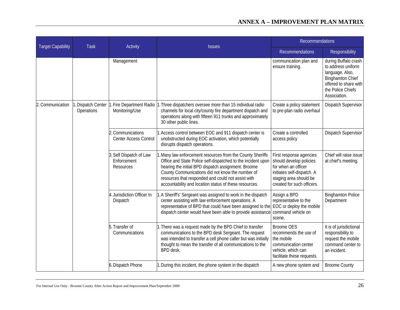| <b>Target Capability</b> |                                  | Activity<br><b>Task</b>                           | <b>Issues</b>                                                                                                                                                                                                                                                | Recommendations                                                                                                                      |                                                                                                                                                                                                                                                                                                                                                    |                                                                                                                                                                 |                                               |
|--------------------------|----------------------------------|---------------------------------------------------|--------------------------------------------------------------------------------------------------------------------------------------------------------------------------------------------------------------------------------------------------------------|--------------------------------------------------------------------------------------------------------------------------------------|----------------------------------------------------------------------------------------------------------------------------------------------------------------------------------------------------------------------------------------------------------------------------------------------------------------------------------------------------|-----------------------------------------------------------------------------------------------------------------------------------------------------------------|-----------------------------------------------|
|                          |                                  |                                                   |                                                                                                                                                                                                                                                              | <b>Recommendations</b>                                                                                                               | Responsibility                                                                                                                                                                                                                                                                                                                                     |                                                                                                                                                                 |                                               |
|                          |                                  | Management                                        |                                                                                                                                                                                                                                                              | communication plan and<br>ensure training.                                                                                           | during Buffalo crash<br>to address uniform<br>language. Also,<br><b>Binghamton Chief</b><br>offered to share with<br>the Police Chiefs<br>Association.                                                                                                                                                                                             |                                                                                                                                                                 |                                               |
| 2. Communication         | 1. Dispatch Center<br>Operations | 1. Fire Department Radio<br>Monitoring/Use        | 1. Three dispatchers oversee more than 15 individual radio<br>channels for local city/county fire department dispatch and<br>operations along with fifteen 911 trunks and approximately<br>30 other public lines.                                            | Create a policy statement<br>to pre-plan radio overhaul                                                                              | Dispatch Supervisor                                                                                                                                                                                                                                                                                                                                |                                                                                                                                                                 |                                               |
|                          |                                  | 2. Communications<br><b>Center Access Control</b> | Access control between EOC and 911 dispatch center is<br>unobstructed during EOC activation, which potentially<br>disrupts dispatch operations.                                                                                                              | Create a controlled<br>access policy                                                                                                 | Dispatch Supervisor                                                                                                                                                                                                                                                                                                                                |                                                                                                                                                                 |                                               |
|                          |                                  |                                                   |                                                                                                                                                                                                                                                              | 3. Self Dispatch of Law<br>Enforcement<br>Resources                                                                                  | Many law enforcement resources from the County Sheriffs<br>Office and State Police self-dispatched to the incident upon<br>hearing the initial BPD dispatch assignment. Broome<br>County Communications did not know the number of<br>resources that responded and could not assist with<br>accountability and location status of these resources. | First response agencies<br>should develop policies<br>for when an officer<br>initiates self-dispatch. A<br>staging area should be<br>created for such officers. | Chief will raise issue<br>at chief's meeting. |
|                          |                                  | 4. Jurisdiction Officer In<br>Dispatch            | 1.A Sheriff's' Sergeant was assigned to work in the dispatch<br>center assisting with law enforcement operations. A<br>representative of BPD that could have been assigned to the<br>dispatch center would have been able to provide assistance              | Assign a BPD<br>representative to the<br>EOC or deploy the mobile<br>command vehicle on<br>scene.                                    | <b>Binghamton Police</b><br>Department                                                                                                                                                                                                                                                                                                             |                                                                                                                                                                 |                                               |
|                          |                                  | 5. Transfer of<br>Communications                  | 1. There was a request made by the BPD Chief to transfer<br>communications to the BPD desk Sergeant. The request<br>was intended to transfer a cell phone caller but was initially<br>thought to mean the transfer of all communications to the<br>BPD desk. | <b>Broome OES</b><br>recommends the use of<br>the mobile<br>communication center<br>vehicle, which can<br>facilitate these requests. | It is of jurisdictional<br>responsibility to<br>request the mobile<br>command center to<br>an incident.                                                                                                                                                                                                                                            |                                                                                                                                                                 |                                               |
|                          |                                  | 6. Dispatch Phone                                 | 1. During this incident, the phone system in the dispatch                                                                                                                                                                                                    | A new phone system and                                                                                                               | <b>Broome County</b>                                                                                                                                                                                                                                                                                                                               |                                                                                                                                                                 |                                               |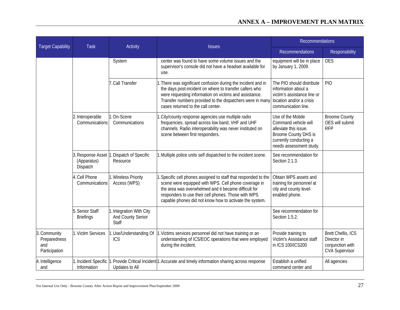| <b>Target Capability</b>                             | <b>Task</b>                        | <b>Activity</b>                                        | <b>Issues</b>                                                                                                                                                                                                                                                                                    | <b>Recommendations</b>                                                                                                                          |                                                                                |
|------------------------------------------------------|------------------------------------|--------------------------------------------------------|--------------------------------------------------------------------------------------------------------------------------------------------------------------------------------------------------------------------------------------------------------------------------------------------------|-------------------------------------------------------------------------------------------------------------------------------------------------|--------------------------------------------------------------------------------|
|                                                      |                                    |                                                        |                                                                                                                                                                                                                                                                                                  | <b>Recommendations</b>                                                                                                                          | Responsibility                                                                 |
|                                                      |                                    | System                                                 | center was found to have some volume issues and the<br>supervisor's console did not have a headset available for<br>use.                                                                                                                                                                         | equipment will be in place<br>by January 1, 2009.                                                                                               | <b>OES</b>                                                                     |
|                                                      |                                    | 7. Call Transfer                                       | . There was significant confusion during the incident and in<br>the days post-incident on where to transfer callers who<br>were requesting information on victims and assistance.<br>Transfer numbers provided to the dispatchers were in many<br>cases returned to the call center.             | The PIO should distribute<br>information about a<br>victim's assistance line or<br>location and/or a crisis<br>communication line.              | <b>PIO</b>                                                                     |
|                                                      | 2. Interoperable<br>Communications | 1. On-Scene<br>Communications                          | City/county response agencies use multiple radio<br>frequencies, spread across low band, VHF and UHF<br>channels. Radio interoperability was never instituted on<br>scene between first responders.                                                                                              | Use of the Mobile<br>Command vehicle will<br>alleviate this issue.<br>Broome County DHS is<br>currently conducting a<br>needs assessment study. | <b>Broome County</b><br>OES will submit<br><b>RFP</b>                          |
|                                                      | (Apparatus)<br>Dispatch            | 3. Response Asset 1. Dispatch of Specific<br>Resource  | 1. Multiple police units self dispatched to the incident scene.                                                                                                                                                                                                                                  | See recommendation for<br>Section 2.1.3.                                                                                                        |                                                                                |
|                                                      | . Cell Phone<br>Communications     | 1. Wireless Priority<br>Access (WPS)                   | . Specific cell phones assigned to staff that responded to the<br>scene were equipped with WPS. Cell phone coverage in<br>the area was overwhelmed and it became difficult for<br>responders to use their cell phones. Those with WPS<br>capable phones did not know how to activate the system. | Obtain WPS assets and<br>training for personnel at<br>city and county level-<br>enabled phone.                                                  |                                                                                |
|                                                      | Senior Staff<br><b>Briefings</b>   | 1. Integration With City<br>And County Senior<br>Staff |                                                                                                                                                                                                                                                                                                  | See recommendation for<br>Section 1.5.2.                                                                                                        |                                                                                |
| 3. Community<br>Preparedness<br>and<br>Participation | 1. Victim Services                 | 1. Use/Understanding Of<br>ICS                         | 1. Victims services personnel did not have training or an<br>understanding of ICS/EOC operations that were employed<br>during the incident.                                                                                                                                                      | Provide training to<br>Victim's Assistance staff<br>in ICS 100/ICS200                                                                           | Brett Chellis, ICS<br>Director in<br>conjunction with<br><b>CVA Supervisor</b> |
| 4. Intelligence<br>and                               | Information                        | Updates to All                                         | Incident Specific 1. Provide Critical Incident <sup>1</sup> 1. Accurate and timely information sharing across response                                                                                                                                                                           | Establish a unified<br>command center and                                                                                                       | All agencies                                                                   |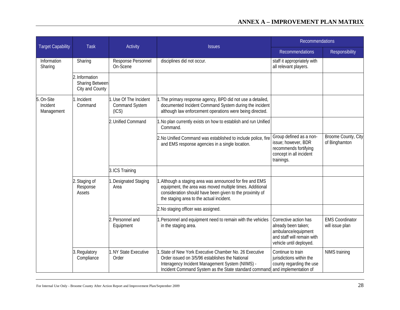|                                      | <b>Task</b>                                                 | Activity                                                 | <b>Issues</b>                                                                                                                                                                                                                | <b>Recommendations</b>                                                                                                       |                                           |
|--------------------------------------|-------------------------------------------------------------|----------------------------------------------------------|------------------------------------------------------------------------------------------------------------------------------------------------------------------------------------------------------------------------------|------------------------------------------------------------------------------------------------------------------------------|-------------------------------------------|
| <b>Target Capability</b>             |                                                             |                                                          |                                                                                                                                                                                                                              | <b>Recommendations</b>                                                                                                       | Responsibility                            |
| Information<br>Sharing               | Sharing                                                     | Response Personnel<br>On-Scene                           | disciplines did not occur.                                                                                                                                                                                                   | staff it appropriately with<br>all relevant players.                                                                         |                                           |
|                                      | 2. Information<br><b>Sharing Between</b><br>City and County |                                                          |                                                                                                                                                                                                                              |                                                                                                                              |                                           |
| 5. On-Site<br>Incident<br>Management | 1. Incident<br>Command                                      | 1. Use Of The Incident<br><b>Command System</b><br>(ICS) | 1. The primary response agency, BPD did not use a detailed,<br>documented Incident Command System during the incident<br>although law enforcement operations were being directed.                                            |                                                                                                                              |                                           |
|                                      |                                                             | 2. Unified Command                                       | . No plan currently exists on how to establish and run Unified<br>Command.                                                                                                                                                   |                                                                                                                              |                                           |
|                                      |                                                             |                                                          | 2. No Unified Command was established to include police, fire<br>and EMS response agencies in a single location.                                                                                                             | Group defined as a non-<br>issue; however, BDR<br>recommends fortifying<br>concept in all incident<br>trainings.             | Broome County, City<br>of Binghamton      |
|                                      |                                                             | 3. ICS Training                                          |                                                                                                                                                                                                                              |                                                                                                                              |                                           |
|                                      | 2. Staging of<br>Response<br>Assets                         | . Designated Staging<br>Area                             | . Although a staging area was announced for fire and EMS<br>equipment, the area was moved multiple times. Additional<br>consideration should have been given to the proximity of<br>the staging area to the actual incident. |                                                                                                                              |                                           |
|                                      |                                                             |                                                          | 2. No staging officer was assigned.                                                                                                                                                                                          |                                                                                                                              |                                           |
|                                      |                                                             | 2. Personnel and<br>Equipment                            | . Personnel and equipment need to remain with the vehicles<br>in the staging area.                                                                                                                                           | Corrective action has<br>already been taken;<br>ambulance/equipment<br>and staff will remain with<br>vehicle until deployed. | <b>EMS Coordinator</b><br>will issue plan |
|                                      | 3. Regulatory<br>Compliance                                 | 1. NY State Executive<br>Order                           | 1. State of New York Executive Chamber No. 26 Executive<br>Order issued on 3/5/96 establishes the National<br>Interagency Incident Management System (NIIMS) -<br>Incident Command System as the State standard command      | Continue to train<br>jurisdictions within the<br>county regarding the use<br>and implementation of                           | NIMS training                             |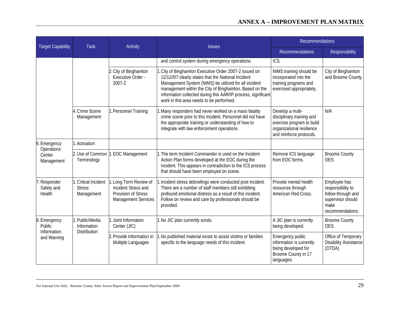|                                                      | <b>Task</b>                                         | <b>Activity</b>                                                                                    | <b>Issues</b>                                                                                                                                                                                                                                                                                                                                | <b>Recommendations</b>                                                                                                              |                                                                                                          |
|------------------------------------------------------|-----------------------------------------------------|----------------------------------------------------------------------------------------------------|----------------------------------------------------------------------------------------------------------------------------------------------------------------------------------------------------------------------------------------------------------------------------------------------------------------------------------------------|-------------------------------------------------------------------------------------------------------------------------------------|----------------------------------------------------------------------------------------------------------|
| <b>Target Capability</b>                             |                                                     |                                                                                                    |                                                                                                                                                                                                                                                                                                                                              | <b>Recommendations</b>                                                                                                              | Responsibility                                                                                           |
|                                                      |                                                     |                                                                                                    | and control system during emergency operations.                                                                                                                                                                                                                                                                                              | ICS.                                                                                                                                |                                                                                                          |
|                                                      |                                                     | 2. City of Binghamton<br>Executive Order -<br>2007-2                                               | . City of Binghamton Executive Order 2007-2 issued on<br>12/12//07 clearly states that the National Incident<br>Management System (NIMS) be utilized for all incident<br>management within the City of Binghamton. Based on the<br>information collected during this AAR/IP process, significant<br>work in this area needs to be performed. | NIMS training should be<br>incorporated into the<br>training programs and<br>exercised appropriately.                               | City of Binghamton<br>and Broome County                                                                  |
|                                                      | 4. Crime Scene<br>Management                        | 1. Personnel Training                                                                              | Many responders had never worked on a mass fatality.<br>crime scene prior to this incident. Personnel did not have<br>the appropriate training or understanding of how to<br>integrate with law enforcement operations.                                                                                                                      | Develop a multi-<br>disciplinary training and<br>exercise program to build<br>organizational resilience<br>and reinforce protocols. | N/A                                                                                                      |
| 6. Emergency                                         | 1. Activation                                       |                                                                                                    |                                                                                                                                                                                                                                                                                                                                              |                                                                                                                                     |                                                                                                          |
| Operations<br>Center<br>Management                   | 2. Use of Common<br>Terminology                     | 1. EOC Management                                                                                  | 1. The term Incident Commander is used on the Incident<br>Action Plan forms developed at the EOC during the<br>incident. This appears in contradiction to the ICS process<br>that should have been employed on scene.                                                                                                                        | Remove ICS language<br>from EOC forms.                                                                                              | <b>Broome County</b><br><b>OES</b>                                                                       |
| 7. Responder<br>Safety and<br>Health                 | 1. Critical Incident<br><b>Stress</b><br>Management | 1. Long Term Review of<br>Incident Stress and<br>Provision of Stress<br><b>Management Services</b> | Incident stress debriefings were conducted post incident.<br>There are a number of staff members still exhibiting<br>profound emotional distress as a result of this incident.<br>Follow on review and care by professionals should be<br>provided.                                                                                          | Provide mental health<br>resources through<br>American Red Cross.                                                                   | Employee has<br>responsibility to<br>follow through and<br>supervisor should<br>make<br>recommendations. |
| 8. Emergency<br>Public<br>Information<br>and Warning | 1. Public/Media<br>Information                      | Joint Information<br>Center (JIC)                                                                  | 1. No JIC plan currently exists.                                                                                                                                                                                                                                                                                                             | A JIC plan is currently<br>being developed.                                                                                         | <b>Broome County</b><br><b>OES</b>                                                                       |
|                                                      | <b>Distribution</b>                                 | 2. Provide Information In<br>Multiple Languages                                                    | . No published material exists to assist victims or families<br>specific to the language needs of this incident.                                                                                                                                                                                                                             | Emergency public<br>information is currently<br>being developed for<br>Broome County in 17<br>languages.                            | Office of Temporary<br><b>Disability Assistance</b><br>(OTDA)                                            |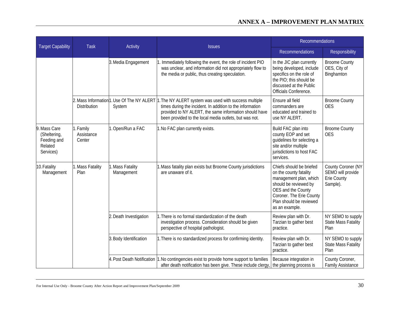| <b>Target Capability</b>                                            | <b>Task</b>                       |                                | Activity<br><b>Issues</b>                                                                                                                                                                                                                                                                      | <b>Recommendations</b>                                                                                                                                                                               |                                                                    |
|---------------------------------------------------------------------|-----------------------------------|--------------------------------|------------------------------------------------------------------------------------------------------------------------------------------------------------------------------------------------------------------------------------------------------------------------------------------------|------------------------------------------------------------------------------------------------------------------------------------------------------------------------------------------------------|--------------------------------------------------------------------|
|                                                                     |                                   |                                |                                                                                                                                                                                                                                                                                                | <b>Recommendations</b>                                                                                                                                                                               | Responsibility                                                     |
|                                                                     |                                   | 3. Media Engagement            | Immediately following the event, the role of incident PIO<br>was unclear, and information did not appropriately flow to<br>the media or public, thus creating speculation.                                                                                                                     | In the JIC plan currently<br>being developed, include<br>specifics on the role of<br>the PIO; this should be<br>discussed at the Public<br>Officials Conference.                                     | <b>Broome County</b><br>OES, City of<br>Binghamton                 |
|                                                                     | Distribution                      | System                         | 2. Mass Information <sup>1</sup> 1. Use Of The NY ALERT 1. The NY ALERT system was used with success multiple<br>times during the incident. In addition to the information<br>provided to NY ALERT, the same information should have<br>been provided to the local media outlets, but was not. | Ensure all field<br>commanders are<br>educated and trained to<br>use NY ALERT.                                                                                                                       | <b>Broome County</b><br><b>OES</b>                                 |
| 9. Mass Care<br>(Sheltering,<br>Feeding and<br>Related<br>Services) | 1. Family<br>Assistance<br>Center | 1. Open/Run a FAC              | 1. No FAC plan currently exists.                                                                                                                                                                                                                                                               | Build FAC plan into<br>county EOP and set<br>guidelines for selecting a<br>site and/or multiple<br>jurisdictions to host FAC<br>services.                                                            | <b>Broome County</b><br><b>OES</b>                                 |
| 10. Fatality<br>Management                                          | 1. Mass Fatality<br>Plan          | I. Mass Fatality<br>Management | 1. Mass fatality plan exists but Broome County jurisdictions<br>are unaware of it.                                                                                                                                                                                                             | Chiefs should be briefed<br>on the county fatality<br>management plan, which<br>should be reviewed by<br>OES and the County<br>Coroner. The Erie County<br>Plan should be reviewed<br>as an example. | County Coroner (NY<br>SEMO will provide<br>Erie County<br>Sample). |
|                                                                     |                                   | 2. Death Investigation         | 1. There is no formal standardization of the death<br>investigation process. Consideration should be given<br>perspective of hospital pathologist.                                                                                                                                             | Review plan with Dr.<br>Tarzian to gather best<br>practice.                                                                                                                                          | NY SEMO to supply<br><b>State Mass Fatality</b><br>Plan            |
|                                                                     |                                   | 3. Body Identification         | 1. There is no standardized process for confirming identity.                                                                                                                                                                                                                                   | Review plan with Dr.<br>Tarzian to gather best<br>practice.                                                                                                                                          | NY SEMO to supply<br><b>State Mass Fatality</b><br>Plan            |
|                                                                     |                                   |                                | 4. Post Death Notification 1. No contingencies exist to provide home support to families<br>after death notification has been give. These include clergy,                                                                                                                                      | Because integration in<br>the planning process is                                                                                                                                                    | County Coroner,<br><b>Family Assistance</b>                        |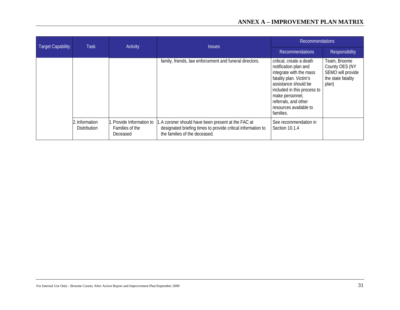| <b>Target Capability</b> | <b>Task</b>                           | Activity                                                | <b>Issues</b><br><b>Recommendations</b>                                                                                                             | <b>Recommendations</b>                                                                                                                                                                                                                           |                                                                                    |
|--------------------------|---------------------------------------|---------------------------------------------------------|-----------------------------------------------------------------------------------------------------------------------------------------------------|--------------------------------------------------------------------------------------------------------------------------------------------------------------------------------------------------------------------------------------------------|------------------------------------------------------------------------------------|
|                          |                                       |                                                         |                                                                                                                                                     |                                                                                                                                                                                                                                                  | Responsibility                                                                     |
|                          |                                       |                                                         | family, friends, law enforcement and funeral directors.                                                                                             | critical, create a death<br>notification plan and<br>integrate with the mass<br>fatality plan. Victim's<br>assistance should be<br>included in this process to<br>make personnel,<br>referrals, and other<br>resources available to<br>families. | Team, Broome<br>County OES (NY<br>SEMO will provide<br>the state fatality<br>plan) |
|                          | 2. Information<br><b>Distribution</b> | . Provide Information to<br>Families of the<br>Deceased | 1.A coroner should have been present at the FAC at<br>designated briefing times to provide critical information to<br>the families of the deceased. | See recommendation in<br>Section 10.1.4                                                                                                                                                                                                          |                                                                                    |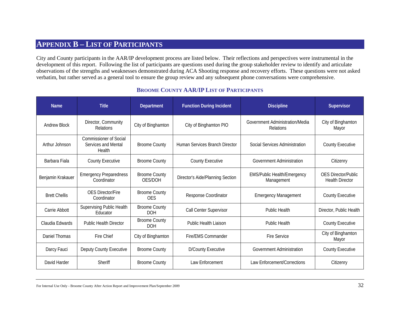# **APPENDIX B – LIST OF PARTICIPANTS**

City and County participants in the AAR/IP development process are listed below. Their reflections and perspectives were instrumental in the development of this report. Following the list of participants are questions used during the group stakeholder review to identify and articulate observations of the strengths and weaknesses demonstrated during ACA Shooting response and recovery efforts. These questions were not asked verbatim, but rather served as a general tool to ensure the group review and any subsequent phone conversations were comprehensive.

<span id="page-36-1"></span><span id="page-36-0"></span>

| <b>Name</b>          | <b>Title</b>                                                   | <b>Department</b>                  | <b>Function During Incident</b>  | <b>Discipline</b>                                | Supervisor                                           |
|----------------------|----------------------------------------------------------------|------------------------------------|----------------------------------|--------------------------------------------------|------------------------------------------------------|
| <b>Andrew Block</b>  | Director, Community<br><b>Relations</b>                        | City of Binghamton                 | City of Binghamton PIO           | Government Administration/Media<br>Relations     | City of Binghamton<br>Mayor                          |
| Arthur Johnson       | <b>Commissioner of Social</b><br>Services and Mental<br>Health | <b>Broome County</b>               | Human Services Branch Director   | Social Services Administration                   | <b>County Executive</b>                              |
| Barbara Fiala        | <b>County Executive</b>                                        | <b>Broome County</b>               | <b>County Executive</b>          | <b>Government Administration</b>                 | Citizenry                                            |
| Benjamin Krakauer    | <b>Emergency Preparedness</b><br>Coordinator                   | <b>Broome County</b><br>OES/DOH    | Director's Aide/Planning Section | <b>EMS/Public Health/Emergency</b><br>Management | <b>OES Director/Public</b><br><b>Health Director</b> |
| <b>Brett Chellis</b> | <b>OES Director/Fire</b><br>Coordinator                        | <b>Broome County</b><br><b>OES</b> | Response Coordinator             | <b>Emergency Management</b>                      | <b>County Executive</b>                              |
| Carrie Abbott        | <b>Supervising Public Health</b><br>Educator                   | <b>Broome County</b><br><b>DOH</b> | Call Center Supervisor           | <b>Public Health</b>                             | Director, Public Health                              |
| Claudia Edwards      | <b>Public Health Director</b>                                  | <b>Broome County</b><br><b>DOH</b> | <b>Public Health Liaison</b>     | <b>Public Health</b>                             | <b>County Executive</b>                              |
| Daniel Thomas        | Fire Chief                                                     | City of Binghamton                 | Fire/EMS Commander               | <b>Fire Service</b>                              | City of Binghamton<br>Mayor                          |
| Darcy Fauci          | Deputy County Executive                                        | <b>Broome County</b>               | <b>D/County Executive</b>        | <b>Government Administration</b>                 | <b>County Executive</b>                              |
| David Harder         | Sheriff                                                        | <b>Broome County</b>               | Law Enforcement                  | Law Enforcement/Corrections                      | Citizenry                                            |

## **BROOME COUNTY AAR/IP LIST OF PARTICIPANTS**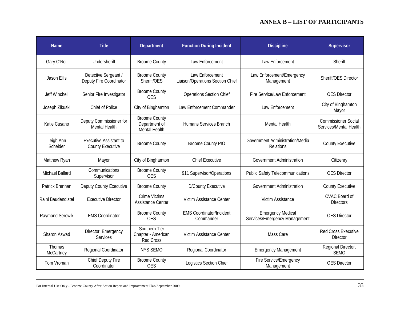# **ANNEX B – LIST OF PARTICIPANTS**

| <b>Name</b>            | <b>Title</b>                                             | <b>Department</b>                                       | <b>Function During Incident</b>                     | <b>Discipline</b>                                         | Supervisor                                           |
|------------------------|----------------------------------------------------------|---------------------------------------------------------|-----------------------------------------------------|-----------------------------------------------------------|------------------------------------------------------|
| Gary O'Neil            | Undersheriff                                             | <b>Broome County</b>                                    | Law Enforcement                                     | Law Enforcement                                           | Sheriff                                              |
| <b>Jason Ellis</b>     | Detective Sergeant /<br>Deputy Fire Coordinator          | <b>Broome County</b><br>Sheriff/OES                     | Law Enforcement<br>Liaison/Operations Section Chief | Law Enforcement/Emergency<br>Management                   | Sheriff/OES Director                                 |
| <b>Jeff Winchell</b>   | Senior Fire Investigator                                 | <b>Broome County</b><br><b>OES</b>                      | <b>Operations Section Chief</b>                     | Fire Service/Law Enforcement                              | <b>OES</b> Director                                  |
| Joseph Zikuski         | Chief of Police                                          | City of Binghamton                                      | Law Enforcement Commander                           | Law Enforcement                                           | City of Binghamton<br>Mayor                          |
| Katie Cusano           | Deputy Commissioner for<br><b>Mental Health</b>          | <b>Broome County</b><br>Department of<br>Mental Health  | Humans Services Branch                              | <b>Mental Health</b>                                      | <b>Commissioner Social</b><br>Services/Mental Health |
| Leigh Ann<br>Scheider  | <b>Executive Assistant to</b><br><b>County Executive</b> | <b>Broome County</b>                                    | <b>Broome County PIO</b>                            | Government Administration/Media<br>Relations              | <b>County Executive</b>                              |
| Matthew Ryan           | Mayor                                                    | City of Binghamton                                      | <b>Chief Executive</b>                              | <b>Government Administration</b>                          | Citizenry                                            |
| <b>Michael Ballard</b> | Communications<br>Supervisor                             | <b>Broome County</b><br><b>OES</b>                      | 911 Supervisor/Operations                           | <b>Public Safety Telecommunications</b>                   | <b>OES Director</b>                                  |
| Patrick Brennan        | Deputy County Executive                                  | <b>Broome County</b>                                    | <b>D/County Executive</b>                           | <b>Government Administration</b>                          | <b>County Executive</b>                              |
| Raini Baudendistel     | <b>Executive Director</b>                                | <b>Crime Victims</b><br><b>Assistance Center</b>        | Victim Assistance Center                            | Victim Assistance                                         | CVAC Board of<br><b>Directors</b>                    |
| Raymond Serowik        | <b>EMS Coordinator</b>                                   | <b>Broome County</b><br><b>OES</b>                      | <b>EMS Coordinator/Incident</b><br>Commander        | <b>Emergency Medical</b><br>Services/Emergency Management | <b>OES Director</b>                                  |
| Sharon Aswad           | Director, Emergency<br>Services                          | Southern Tier<br>Chapter - American<br><b>Red Cross</b> | Victim Assistance Center                            | Mass Care                                                 | <b>Red Cross Executive</b><br><b>Director</b>        |
| Thomas<br>McCartney    | Regional Coordinator                                     | <b>NYS SEMO</b>                                         | Regional Coordinator                                | <b>Emergency Management</b>                               | Regional Director,<br><b>SEMO</b>                    |
| Tom Vroman             | Chief Deputy Fire<br>Coordinator                         | <b>Broome County</b><br><b>OES</b>                      | Logistics Section Chief                             | Fire Service/Emergency<br>Management                      | <b>OES Director</b>                                  |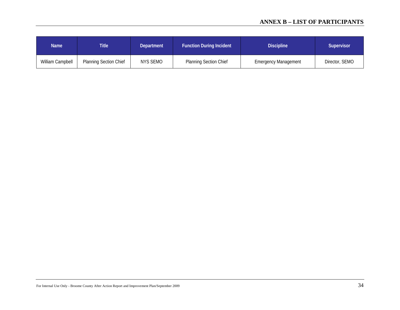# **ANNEX B – LIST OF PARTICIPANTS**

| <b>Name</b>      | <b>Title</b>                  | Department | <b>Function During Incident</b> | <b>Discipline</b>           | Supervisor     |
|------------------|-------------------------------|------------|---------------------------------|-----------------------------|----------------|
| William Campbell | <b>Planning Section Chief</b> | NYS SEMO   | <b>Planning Section Chief</b>   | <b>Emergency Management</b> | Director, SEMO |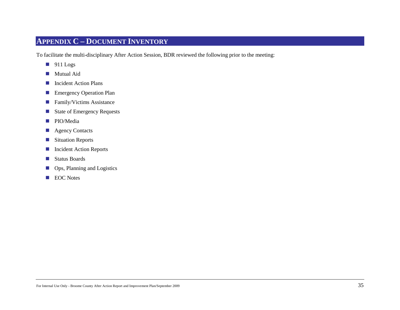# **APPENDIX C – DOCUMENT INVENTORY**

To facilitate the multi-disciplinary After Action Session, BDR reviewed the following prior to the meeting:

- $\blacksquare$  911 Logs
- **Mutual Aid**
- **Incident Action Plans**
- **Emergency Operation Plan**
- **Family/Victims Assistance**
- State of Emergency Requests
- **PIO/Media**
- **Agency Contacts**
- **Situation Reports**
- **Incident Action Reports**
- Status Boards
- **Ops, Planning and Logistics**
- **EOC** Notes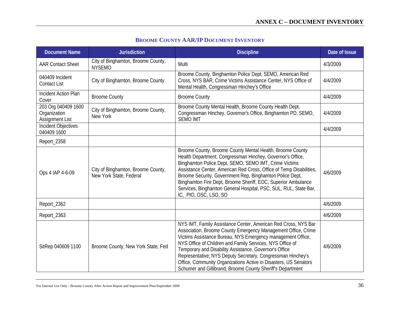| <b>BROOME COUNTY AAR/IP DOCUMENT INVENTORY</b> |  |  |  |
|------------------------------------------------|--|--|--|
|------------------------------------------------|--|--|--|

| <b>Document Name</b>                                          | <b>Jurisdiction</b>                                           | <b>Discipline</b>                                                                                                                                                                                                                                                                                                                                                                                                                                                                                                      | Date of Issue |
|---------------------------------------------------------------|---------------------------------------------------------------|------------------------------------------------------------------------------------------------------------------------------------------------------------------------------------------------------------------------------------------------------------------------------------------------------------------------------------------------------------------------------------------------------------------------------------------------------------------------------------------------------------------------|---------------|
| <b>AAR Contact Sheet</b>                                      | City of Binghamton, Broome County,<br><b>NYSEMO</b>           | Multi                                                                                                                                                                                                                                                                                                                                                                                                                                                                                                                  | 4/3/2009      |
| 040409 Incident<br><b>Contact List</b>                        | City of Binghamton, Broome County                             | Broome County, Binghamton Police Dept, SEMO, American Red<br>Cross, NYS BAR, Crime Victims Assistance Center, NYS Office of<br>Mental Health, Congressman Hinchey's Office                                                                                                                                                                                                                                                                                                                                             | 4/4/2009      |
| <b>Incident Action Plan</b><br>Cover                          | <b>Broome County</b>                                          | <b>Broome County</b>                                                                                                                                                                                                                                                                                                                                                                                                                                                                                                   | 4/4/2009      |
| 203 Org 040409 1600<br>Organization<br><b>Assignment List</b> | City of Binghamton, Broome County,<br>New York                | Broome County Mental Health, Broome County Health Dept,<br>Congressman Hinchey, Governor's Office, Binghamton PD, SEMO,<br><b>SEMO IMT</b>                                                                                                                                                                                                                                                                                                                                                                             | 4/4/2009      |
| Incident Objectives<br>040409 1600                            |                                                               |                                                                                                                                                                                                                                                                                                                                                                                                                                                                                                                        | 4/4/2009      |
| Report_2358                                                   |                                                               |                                                                                                                                                                                                                                                                                                                                                                                                                                                                                                                        |               |
| Ops 4 IAP 4-6-09                                              | City of Binghamton, Broome County,<br>New York State, Federal | Broome County, Broome County Mental Health, Broome County<br>Health Department, Congressman Hinchey, Governor's Office,<br>Binghamton Police Dept, SEMO, SEMO IMT, Crime Victims<br>Assistance Center, American Red Cross, Office of Temp Disabilities,<br>Broome Security, Government Rep, Binghamton Police Dept,<br>Binghamton Fire Dept, Broome Sheriff, EOC, Superior Ambulance<br>Services, Binghamton General Hospital, PSC, SUL, RUL, State Bar,<br>IC, PIO, OSC, LSO, SO                                      | 4/6/2009      |
| Report_2362                                                   |                                                               |                                                                                                                                                                                                                                                                                                                                                                                                                                                                                                                        | 4/6/2009      |
| Report_2363                                                   |                                                               |                                                                                                                                                                                                                                                                                                                                                                                                                                                                                                                        | 4/6/2009      |
| SitRep 040609 1100                                            | Broome County, New York State, Fed                            | NYS IMT, Family Assistance Center, American Red Cross, NYS Bar<br>Association, Broome County Emergency Management Office, Crime<br>Victims Assistance Bureau, NYS Emergency management Office,<br>NYS Office of Children and Family Services, NYS Office of<br>Temporary and Disability Assistance, Governor's Office<br>Representative; NYS Deputy Secretary, Congressman Hinchey's<br>Office, Community Organizations Active in Disasters, US Senators<br>Schumer and Gillibrand, Broome County Sheriff's Department | 4/6/2009      |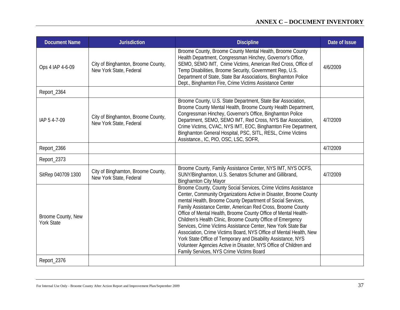# **ANNEX C – DOCUMENT INVENTORY**

| <b>Document Name</b>                    | <b>Jurisdiction</b>                                           | <b>Discipline</b>                                                                                                                                                                                                                                                                                                                                                                                                                                                                                                                                                                                                                                                                                                             | Date of Issue |
|-----------------------------------------|---------------------------------------------------------------|-------------------------------------------------------------------------------------------------------------------------------------------------------------------------------------------------------------------------------------------------------------------------------------------------------------------------------------------------------------------------------------------------------------------------------------------------------------------------------------------------------------------------------------------------------------------------------------------------------------------------------------------------------------------------------------------------------------------------------|---------------|
| Ops 4 IAP 4-6-09                        | City of Binghamton, Broome County,<br>New York State, Federal | Broome County, Broome County Mental Health, Broome County<br>Health Department, Congressman Hinchey, Governor's Office,<br>SEMO, SEMO IMT, Crime Victims, American Red Cross, Office of<br>Temp Disabilities, Broome Security, Government Rep, U.S.<br>Department of State, State Bar Associations, Binghamton Police<br>Dept., Binghamton Fire, Crime Victims Assistance Center                                                                                                                                                                                                                                                                                                                                              | 4/6/2009      |
| Report_2364                             |                                                               |                                                                                                                                                                                                                                                                                                                                                                                                                                                                                                                                                                                                                                                                                                                               |               |
| IAP 5 4-7-09                            | City of Binghamton, Broome County,<br>New York State, Federal | Broome County, U.S. State Department, State Bar Association,<br>Broome County Mental Health, Broome County Health Department,<br>Congressman Hinchey, Governor's Office, Binghamton Police<br>Department, SEMO, SEMO IMT, Red Cross, NYS Bar Association,<br>Crime Victims, CVAC, NYS IMT, EOC, Binghamton Fire Department,<br>Binghamton General Hospital, PSC, SITL, RESL, Crime Victims<br>Assistance., IC, PIO, OSC, LSC, SOFR,                                                                                                                                                                                                                                                                                           | 4/7/2009      |
| Report_2366                             |                                                               |                                                                                                                                                                                                                                                                                                                                                                                                                                                                                                                                                                                                                                                                                                                               | 4/7/2009      |
| Report_2373                             |                                                               |                                                                                                                                                                                                                                                                                                                                                                                                                                                                                                                                                                                                                                                                                                                               |               |
| SitRep 040709 1300                      | City of Binghamton, Broome County,<br>New York State, Federal | Broome County, Family Assistance Center, NYS IMT, NYS OCFS,<br>SUNY/Binghamton, U.S. Senators Schumer and Gillibrand,<br><b>Binghamton City Mayor</b>                                                                                                                                                                                                                                                                                                                                                                                                                                                                                                                                                                         | 4/7/2009      |
| Broome County, New<br><b>York State</b> |                                                               | Broome County, County Social Services, Crime Victims Assistance<br>Center, Community Organizations Active in Disaster, Broome County<br>mental Health, Broome County Department of Social Services,<br>Family Assistance Center, American Red Cross, Broome County<br>Office of Mental Health, Broome County Office of Mental Health-<br>Children's Health Clinic, Broome County Office of Emergency<br>Services, Crime Victims Assistance Center, New York State Bar<br>Association, Crime Victims Board, NYS Office of Mental Health, New<br>York State Office of Temporary and Disability Assistance, NYS<br>Volunteer Agencies Active in Disaster, NYS Office of Children and<br>Family Services, NYS Crime Victims Board |               |
| Report_2376                             |                                                               |                                                                                                                                                                                                                                                                                                                                                                                                                                                                                                                                                                                                                                                                                                                               |               |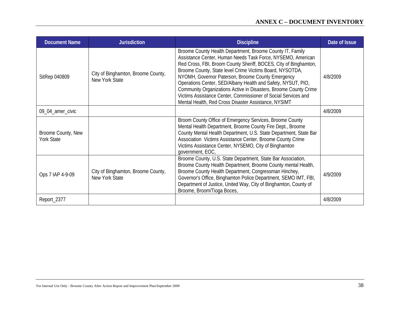| <b>Document Name</b>                    | <b>Jurisdiction</b>                                  | <b>Discipline</b>                                                                                                                                                                                                                                                                                                                                                                                                                                                                                                                                                           | Date of Issue |
|-----------------------------------------|------------------------------------------------------|-----------------------------------------------------------------------------------------------------------------------------------------------------------------------------------------------------------------------------------------------------------------------------------------------------------------------------------------------------------------------------------------------------------------------------------------------------------------------------------------------------------------------------------------------------------------------------|---------------|
| SitRep 040809                           | City of Binghamton, Broome County,<br>New York State | Broome County Health Department, Broome County IT, Family<br>Assistance Center, Human Needs Task Force, NYSEMO, American<br>Red Cross, FBI, Broom County Sheriff, BOCES, City of Binghamton,<br>Broome County, State level Crime Victims Board, NYSOTDA,<br>NYOMH, Governor Paterson, Broome County Emergency<br>Operations Center, SED/Albany Health and Safety, NYSUT, PIO,<br>Community Organizations Active in Disasters, Broome County Crime<br>Victims Assistance Center, Commissioner of Social Services and<br>Mental Health, Red Cross Disaster Assistance, NYSIMT | 4/8/2009      |
| 09_04_amer_civic                        |                                                      |                                                                                                                                                                                                                                                                                                                                                                                                                                                                                                                                                                             | 4/8/2009      |
| Broome County, New<br><b>York State</b> |                                                      | Broom County Office of Emergency Services, Broome County<br>Mental Health Department, Broome County Fire Dept., Broome<br>County Mental Health Department, U.S. State Department, State Bar<br>Association Victims Assistance Center, Broome County Crime<br>Victims Assistance Center, NYSEMO, City of Binghamton<br>government, EOC,                                                                                                                                                                                                                                      |               |
| Ops 7 IAP 4-9-09                        | City of Binghamton, Broome County,<br>New York State | Broome County, U.S. State Department, State Bar Association,<br>Broome County Health Department, Broome County mental Health,<br>Broome County Health Department, Congressman Hinchey,<br>Governor's Office, Binghamton Police Department, SEMO IMT, FBI,<br>Department of Justice, United Way, City of Binghamton, County of<br>Broome, Broom/Tioga Boces,                                                                                                                                                                                                                 | 4/9/2009      |
| Report_2377                             |                                                      |                                                                                                                                                                                                                                                                                                                                                                                                                                                                                                                                                                             | 4/8/2009      |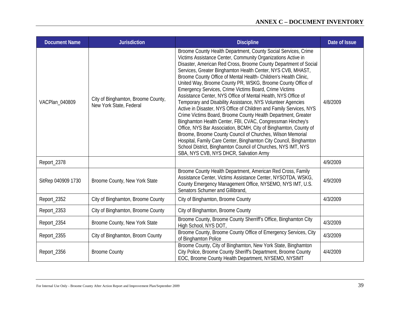| <b>Document Name</b> | <b>Jurisdiction</b>                                           | <b>Discipline</b>                                                                                                                                                                                                                                                                                                                                                                                                                                                                                                                                                                                                                                                                                                                                                                                                                                                                                                                                                                                                                                                                                                      | Date of Issue |
|----------------------|---------------------------------------------------------------|------------------------------------------------------------------------------------------------------------------------------------------------------------------------------------------------------------------------------------------------------------------------------------------------------------------------------------------------------------------------------------------------------------------------------------------------------------------------------------------------------------------------------------------------------------------------------------------------------------------------------------------------------------------------------------------------------------------------------------------------------------------------------------------------------------------------------------------------------------------------------------------------------------------------------------------------------------------------------------------------------------------------------------------------------------------------------------------------------------------------|---------------|
| VACPlan 040809       | City of Binghamton, Broome County,<br>New York State, Federal | Broome County Health Department, County Social Services, Crime<br>Victims Assistance Center, Community Organizations Active in<br>Disaster, American Red Cross, Broome County Department of Social<br>Services, Greater Binghamton Health Center, NYS CVB, MHAST,<br>Broome County Office of Mental Health- Children's Health Clinic,<br>United Way, Broome County PR, WSKG, Broome County Office of<br>Emergency Services, Crime Victims Board, Crime Victims<br>Assistance Center, NYS Office of Mental Health, NYS Office of<br>Temporary and Disability Assistance, NYS Volunteer Agencies<br>Active in Disaster, NYS Office of Children and Family Services, NYS<br>Crime Victims Board, Broome County Health Department, Greater<br>Binghamton Health Center, FBI, CVAC, Congressman Hinchey's<br>Office, NYS Bar Association, BCMH, City of Binghamton, County of<br>Broome, Broome County Council of Churches, Wilson Memorial<br>Hospital, Family Care Center, Binghamton City Council, Binghamton<br>School District, Binghamton Council of Churches, NYS IMT, NYS<br>SBA, NYS CVB, NYS DHCR, Salvation Army | 4/8/2009      |
| Report_2378          |                                                               |                                                                                                                                                                                                                                                                                                                                                                                                                                                                                                                                                                                                                                                                                                                                                                                                                                                                                                                                                                                                                                                                                                                        | 4/9/2009      |
| SitRep 040909 1730   | Broome County, New York State                                 | Broome County Health Department, American Red Cross, Family<br>Assistance Center, Victims Assistance Center, NYSOTDA, WSKG,<br>County Emergency Management Office, NYSEMO, NYS IMT, U.S.<br>Senators Schumer and Gillibrand,                                                                                                                                                                                                                                                                                                                                                                                                                                                                                                                                                                                                                                                                                                                                                                                                                                                                                           | 4/9/2009      |
| Report_2352          | City of Binghamton, Broome County                             | City of Binghamton, Broome County                                                                                                                                                                                                                                                                                                                                                                                                                                                                                                                                                                                                                                                                                                                                                                                                                                                                                                                                                                                                                                                                                      | 4/3/2009      |
| Report_2353          | City of Binghamton, Broome County                             | City of Binghamton, Broome County                                                                                                                                                                                                                                                                                                                                                                                                                                                                                                                                                                                                                                                                                                                                                                                                                                                                                                                                                                                                                                                                                      |               |
| Report_2354          | Broome County, New York State                                 | Broome County, Broome County Sherriff's Office, Binghamton City<br>High School, NYS DOT,                                                                                                                                                                                                                                                                                                                                                                                                                                                                                                                                                                                                                                                                                                                                                                                                                                                                                                                                                                                                                               | 4/3/2009      |
| Report_2355          | City of Binghamton, Broom County                              | Broome County, Broome County Office of Emergency Services, City<br>of Binghamton Police                                                                                                                                                                                                                                                                                                                                                                                                                                                                                                                                                                                                                                                                                                                                                                                                                                                                                                                                                                                                                                | 4/3/2009      |
| Report_2356          | <b>Broome County</b>                                          | Broome County, City of Binghamton, New York State, Binghamton<br>City Police, Broome County Sheriff's Department, Broome County<br>EOC, Broome County Health Department, NYSEMO, NYSIMT                                                                                                                                                                                                                                                                                                                                                                                                                                                                                                                                                                                                                                                                                                                                                                                                                                                                                                                                | 4/4/2009      |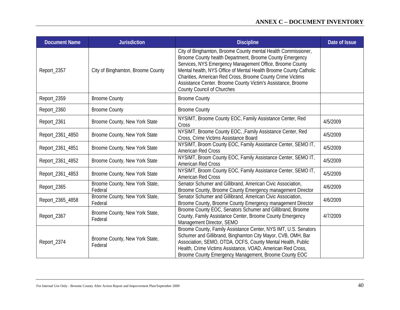| <b>Document Name</b> | <b>Jurisdiction</b>                       | <b>Discipline</b>                                                                                                                                                                                                                                                                                                                                                                                                      | Date of Issue |
|----------------------|-------------------------------------------|------------------------------------------------------------------------------------------------------------------------------------------------------------------------------------------------------------------------------------------------------------------------------------------------------------------------------------------------------------------------------------------------------------------------|---------------|
| Report_2357          | City of Binghamton, Broome County         | City of Binghamton, Broome County mental Health Commissioner,<br>Broome County health Department, Broome County Emergency<br>Services, NYS Emergency Management Office, Broome County<br>Mental health, NYS Office of Mental Health Broome County Catholic<br>Charities, American Red Cross, Broome County Crime Victims<br>Assistance Center. Broome County Victim's Assistance, Broome<br>County Council of Churches |               |
| Report_2359          | <b>Broome County</b>                      | <b>Broome County</b>                                                                                                                                                                                                                                                                                                                                                                                                   |               |
| Report_2360          | <b>Broome County</b>                      | <b>Broome County</b>                                                                                                                                                                                                                                                                                                                                                                                                   |               |
| Report_2361          | Broome County, New York State             | NYSIMT, Broome County EOC, Family Assistance Center, Red<br>Cross                                                                                                                                                                                                                                                                                                                                                      | 4/5/2009      |
| Report_2361_4850     | Broome County, New York State             | NYSIMT, Broome County EOC, , Family Assistance Center, Red<br>Cross, Crime Victims Assistance Board                                                                                                                                                                                                                                                                                                                    | 4/5/2009      |
| Report_2361_4851     | Broome County, New York State             | NYSIMT, Broom County EOC, Family Assistance Center, SEMO IT,<br>American Red Cross                                                                                                                                                                                                                                                                                                                                     | 4/5/2009      |
| Report_2361_4852     | Broome County, New York State             | NYSIMT, Broom County EOC, Family Assistance Center, SEMO IT,<br>American Red Cross                                                                                                                                                                                                                                                                                                                                     | 4/5/2009      |
| Report_2361_4853     | Broome County, New York State             | NYSIMT, Broom County EOC, Family Assistance Center, SEMO IT,<br><b>American Red Cross</b>                                                                                                                                                                                                                                                                                                                              | 4/5/2009      |
| Report_2365          | Broome County, New York State,<br>Federal | Senator Schumer and Gillibrand, American Civic Association,<br>Broome County, Broome County Emergency management Director                                                                                                                                                                                                                                                                                              | 4/6/2009      |
| Report_2365_4858     | Broome County, New York State,<br>Federal | Senator Schumer and Gillibrand, American Civic Association,<br>Broome County, Broome County Emergency management Director                                                                                                                                                                                                                                                                                              | 4/6/2009      |
| Report_2367          | Broome County, New York State,<br>Federal | Broome County EOC, Senators Schumer and Gillibrand, Broome<br>County, Family Assistance Center, Broome County Emergency<br>Management Director, SEMO                                                                                                                                                                                                                                                                   | 4/7/2009      |
| Report_2374          | Broome County, New York State,<br>Federal | Broome County, Family Assistance Center, NYS IMT, U.S. Senators<br>Schumer and Gillibrand, Binghamton City Mayor, CVB, OMH, Bar<br>Association, SEMO, OTDA, OCFS, County Mental Health, Public<br>Health, Crime Victims Assistance, VOAD, American Red Cross,<br>Broome County Emergency Management, Broome County EOC                                                                                                 |               |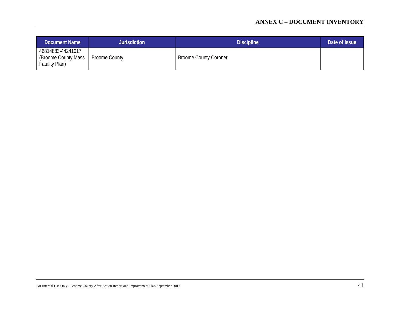| Document Name                                              | <b>Jurisdiction</b>  | <b>Discipline</b>            | Date of Issue |
|------------------------------------------------------------|----------------------|------------------------------|---------------|
| 46814883-44241017<br>(Broome County Mass<br>Fatality Plan) | <b>Broome County</b> | <b>Broome County Coroner</b> |               |